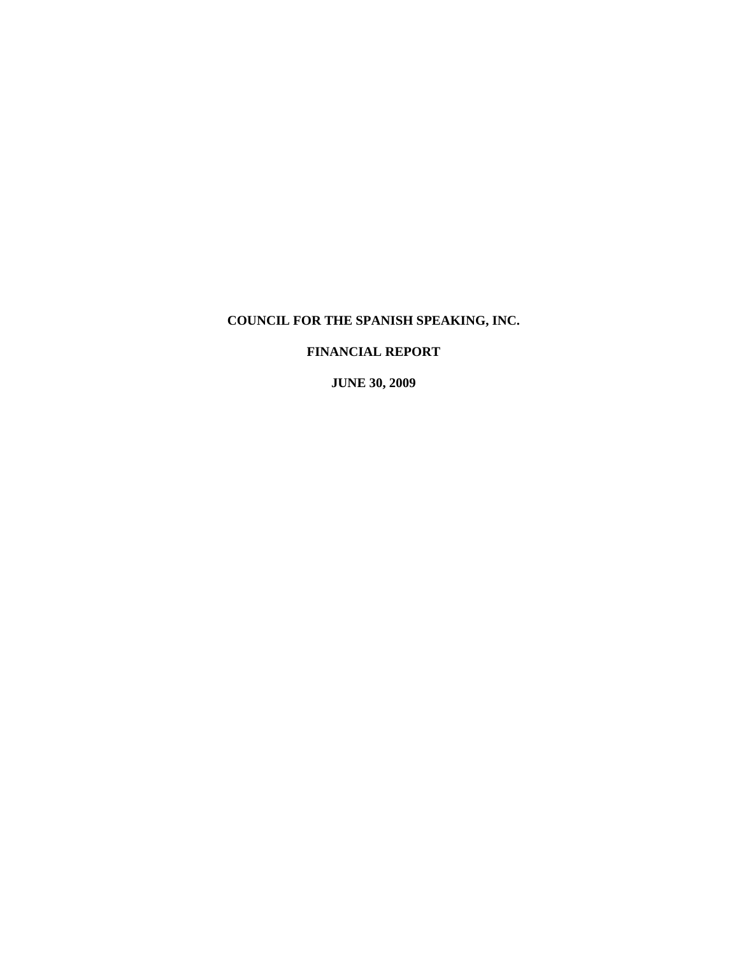### **FINANCIAL REPORT**

**JUNE 30, 2009**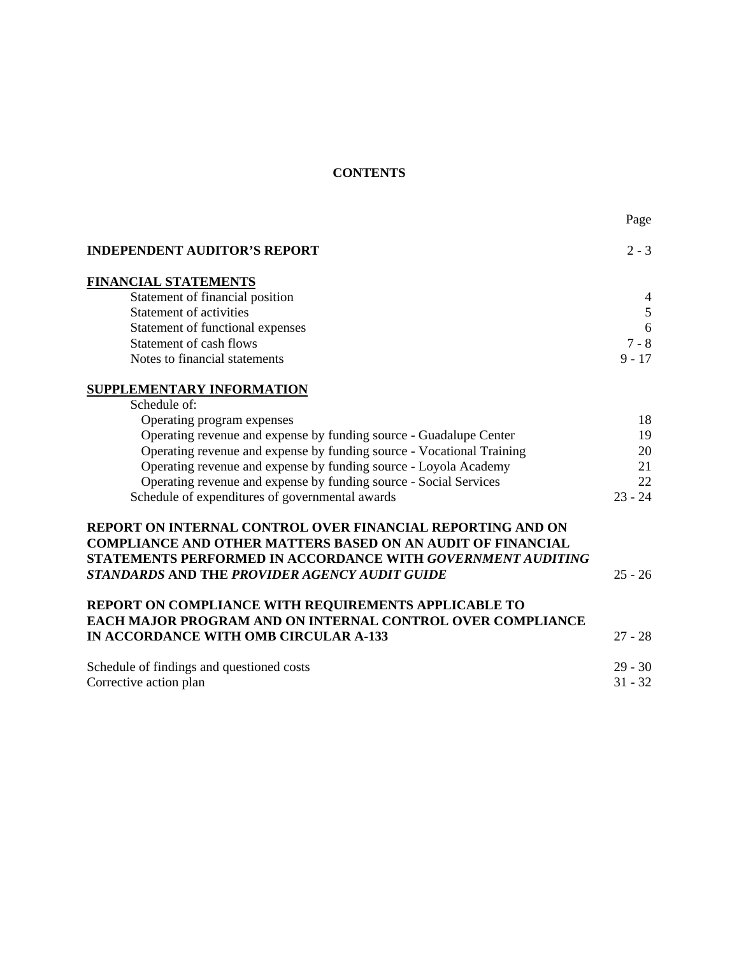## **CONTENTS**

|                                                                                                                                                                                                 | Page           |
|-------------------------------------------------------------------------------------------------------------------------------------------------------------------------------------------------|----------------|
| <b>INDEPENDENT AUDITOR'S REPORT</b>                                                                                                                                                             | $2 - 3$        |
| FINANCIAL STATEMENTS                                                                                                                                                                            |                |
| Statement of financial position                                                                                                                                                                 | 4              |
| <b>Statement of activities</b>                                                                                                                                                                  | $\mathfrak{S}$ |
| Statement of functional expenses                                                                                                                                                                | 6              |
| Statement of cash flows                                                                                                                                                                         | $7 - 8$        |
| Notes to financial statements                                                                                                                                                                   | $9 - 17$       |
| SUPPLEMENTARY INFORMATION                                                                                                                                                                       |                |
| Schedule of:                                                                                                                                                                                    |                |
| Operating program expenses                                                                                                                                                                      | 18             |
| Operating revenue and expense by funding source - Guadalupe Center                                                                                                                              | 19             |
| Operating revenue and expense by funding source - Vocational Training                                                                                                                           | 20             |
| Operating revenue and expense by funding source - Loyola Academy                                                                                                                                | 21             |
| Operating revenue and expense by funding source - Social Services                                                                                                                               | 22             |
| Schedule of expenditures of governmental awards                                                                                                                                                 | $23 - 24$      |
| REPORT ON INTERNAL CONTROL OVER FINANCIAL REPORTING AND ON<br><b>COMPLIANCE AND OTHER MATTERS BASED ON AN AUDIT OF FINANCIAL</b><br>STATEMENTS PERFORMED IN ACCORDANCE WITH GOVERNMENT AUDITING |                |
| STANDARDS AND THE PROVIDER AGENCY AUDIT GUIDE                                                                                                                                                   | $25 - 26$      |
| REPORT ON COMPLIANCE WITH REQUIREMENTS APPLICABLE TO<br>EACH MAJOR PROGRAM AND ON INTERNAL CONTROL OVER COMPLIANCE                                                                              |                |
| IN ACCORDANCE WITH OMB CIRCULAR A-133                                                                                                                                                           | $27 - 28$      |
| Schedule of findings and questioned costs                                                                                                                                                       | $29 - 30$      |
| Corrective action plan                                                                                                                                                                          | $31 - 32$      |
|                                                                                                                                                                                                 |                |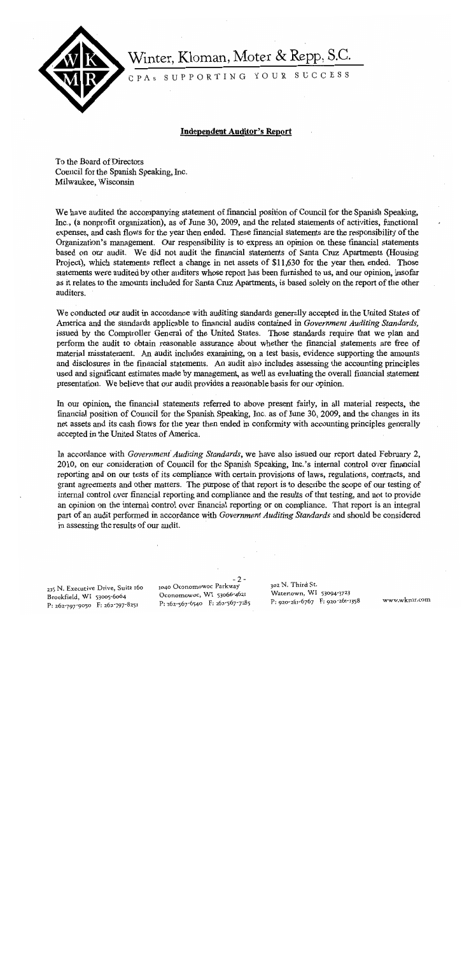

# Winter, Kloman, Moter & Repp, S.C.

CPAS SUPPORTING YOUR SUCCESS

#### **Independent Auditor's Report**

To the Board of Directors Council for the Spanish Speaking, Inc. Milwaukee, Wisconsin

We have audited the accompanying statement of financial position of Council for the Spanish Speaking, Inc., (a nonprofit organization), as of June 30, 2009, and the related statements of activities, functional expenses, and cash flows for the year then ended. These financial statements are the responsibility of the Organization's management. Our responsibility is to express an opinion on these financial statements based on our audit. We did not audit the financial statements of Santa Cruz Apartments (Housing Project), which statements reflect a change in net assets of \$11,630 for the year then ended. Those statements were audited by other auditors whose report has been furnished to us, and our opinion, insofar as it relates to the amounts included for Santa Cruz Apartments, is based solely on the report of the other auditors.

We conducted our audit in accordance with auditing standards generally accepted in the United States of America and the standards applicable to financial audits contained in Government Auditing Standards. issued by the Comptroller General of the United States. Those standards require that we plan and perform the audit to obtain reasonable assurance about whether the financial statements are free of material misstatement. An audit includes examining, on a test basis, evidence supporting the amounts and disclosures in the financial statements. An audit also includes assessing the accounting principles used and significant estimates made by management, as well as evaluating the overall financial statement presentation. We believe that our audit provides a reasonable basis for our opinion.

In our opinion, the financial statements referred to above present fairly, in all material respects, the financial position of Council for the Spanish Speaking, Inc. as of June 30, 2009, and the changes in its net assets and its cash flows for the year then ended in conformity with accounting principles generally accepted in the United States of America.

In accordance with Government Auditing Standards, we have also issued our report dated February 2, 2010, on our consideration of Council for the Spanish Speaking, Inc.'s internal control over financial reporting and on our tests of its compliance with certain provisions of laws, regulations, contracts, and grant agreements and other matters. The purpose of that report is to describe the scope of our testing of internal control over financial reporting and compliance and the results of that testing, and not to provide an opinion on the internal control over financial reporting or on compliance. That report is an integral part of an audit performed in accordance with Government Auditing Standards and should be considered in assessing the results of our audit.

235 N. Executive Drive, Suite 160 Brookfield, WI 53005-6064 P: 262-797-9050 F: 262-797-8251

 $-2-$ 1040 Oconomowoc Parkway Oconomowoc, WI 53066-4621 P: 262-567-6540 F: 262-567-7285

302 N. Third St. Watertown, WI 53094-3723 P:  $020 - 261 - 6767$  F:  $920 - 261 - 1358$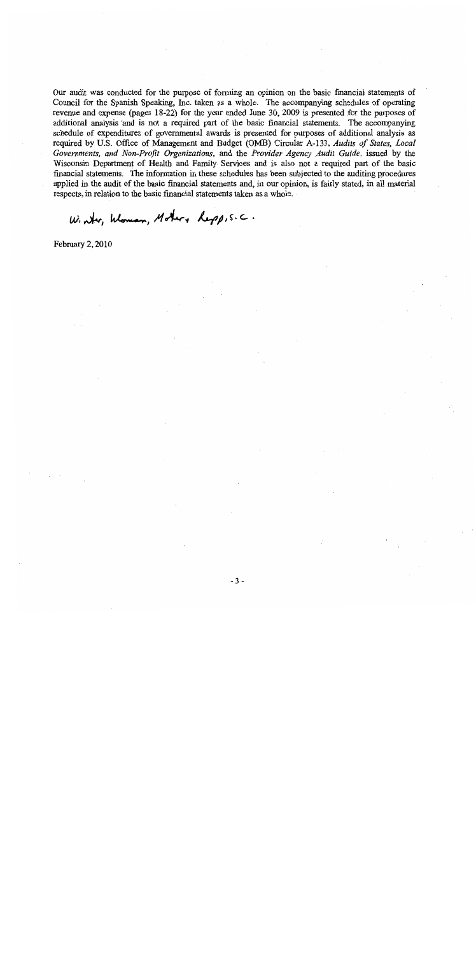Our audit was conducted for the purpose of forming an opinion on the basic financial statements of Council for the Spanish Speaking, Inc. taken as a whole. The accompanying schedules of operating revenue and expense (pages 18-22) for the year ended June 30, 2009 is presented for the purposes of additional analysis and is not a required part of the basic financial statements. The accompanying schedule of expenditures of governmental awards is presented for purposes of additional analysis as required by U.S. Office of Management and Budget (OMB) Circular A-133, Audits of States, Local Governments, and Non-Profit Organizations, and the Provider Agency Audit Guide, issued by the Wisconsin Department of Health and Family Services and is also not a required part of the basic financial statements. The information in these schedules has been subjected to the auditing procedures applied in the audit of the basic financial statements and, in our opinion, is fairly stated, in all material respects, in relation to the basic financial statements taken as a whole.

W. Nov, Woman, Motor, Repp, S.C.

February 2, 2010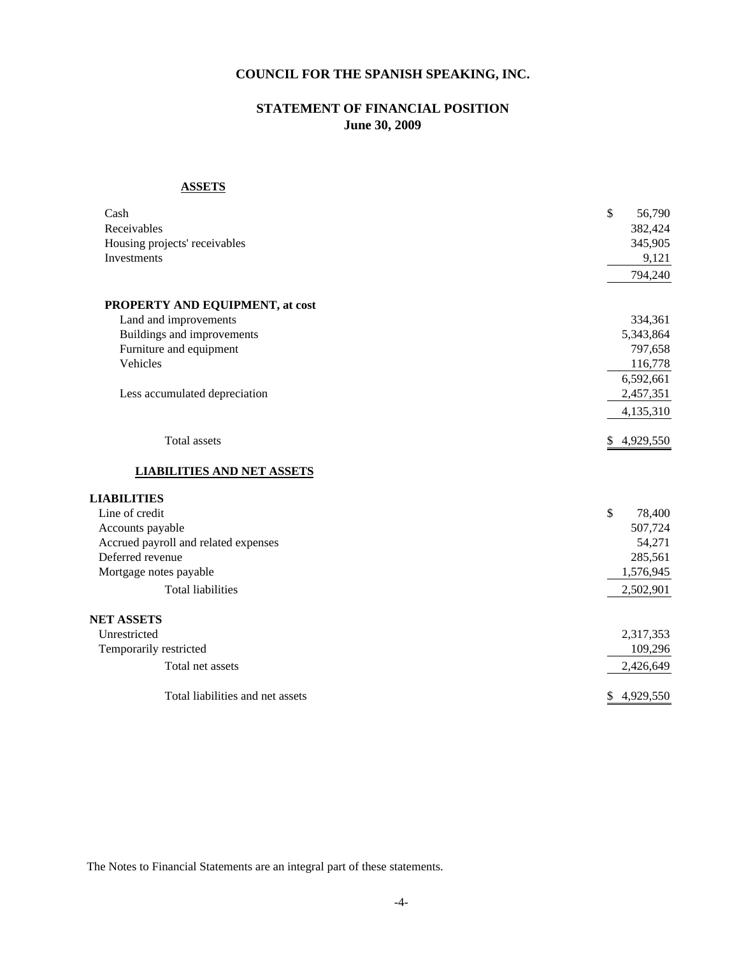### **STATEMENT OF FINANCIAL POSITION June 30, 2009**

#### **ASSETS Operating Project Total**

| Cash                                 | \$<br>56,790    |
|--------------------------------------|-----------------|
| Receivables                          | 382,424         |
| Housing projects' receivables        | 345,905         |
| <b>Investments</b>                   | 9,121           |
|                                      | 794,240         |
| PROPERTY AND EQUIPMENT, at cost      |                 |
| Land and improvements                | 334,361         |
| Buildings and improvements           | 5,343,864       |
| Furniture and equipment              | 797,658         |
| Vehicles                             | 116,778         |
|                                      | 6,592,661       |
| Less accumulated depreciation        | 2,457,351       |
|                                      | 4,135,310       |
| Total assets                         | 4,929,550<br>\$ |
| <b>LIABILITIES AND NET ASSETS</b>    |                 |
| <b>LIABILITIES</b>                   |                 |
| Line of credit                       | \$<br>78,400    |
| Accounts payable                     | 507,724         |
| Accrued payroll and related expenses | 54,271          |
| Deferred revenue                     | 285,561         |
| Mortgage notes payable               | 1,576,945       |
| <b>Total liabilities</b>             | 2,502,901       |
| <b>NET ASSETS</b>                    |                 |
| Unrestricted                         | 2,317,353       |
| Temporarily restricted               | 109,296         |
| Total net assets                     | 2,426,649       |
| Total liabilities and net assets     | 4,929,550<br>\$ |

The Notes to Financial Statements are an integral part of these statements.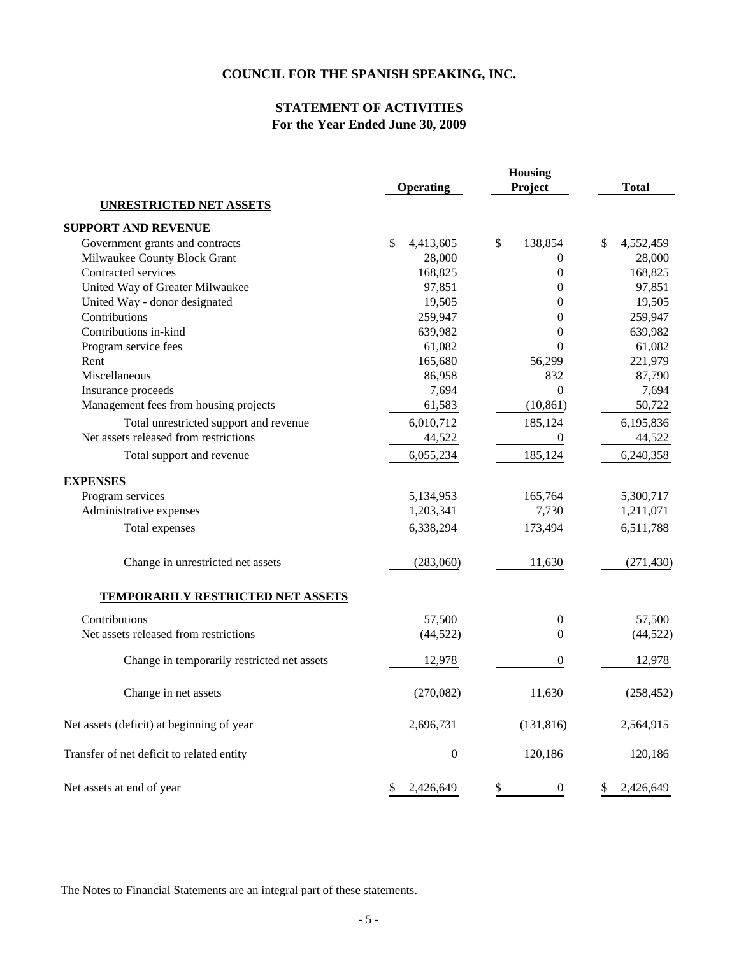### **STATEMENT OF ACTIVITIES For the Year Ended June 30, 2009**

|                                             | <b>Operating</b> | Housing<br>Project     | <b>Total</b>    |  |
|---------------------------------------------|------------------|------------------------|-----------------|--|
| UNRESTRICTED NET ASSETS                     |                  |                        |                 |  |
| <b>SUPPORT AND REVENUE</b>                  |                  |                        |                 |  |
| Government grants and contracts             | \$<br>4,413,605  | \$<br>138,854          | \$<br>4,552,459 |  |
| Milwaukee County Block Grant                | 28,000           | $\boldsymbol{0}$       | 28,000          |  |
| Contracted services                         | 168,825          | $\theta$               | 168,825         |  |
| United Way of Greater Milwaukee             | 97,851           | $\overline{0}$         | 97,851          |  |
| United Way - donor designated               | 19,505           | $\overline{0}$         | 19,505          |  |
| Contributions                               | 259,947          | $\theta$               | 259,947         |  |
| Contributions in-kind                       | 639,982          | $\boldsymbol{0}$       | 639,982         |  |
| Program service fees                        | 61,082           | $\theta$               | 61,082          |  |
| Rent                                        | 165,680          | 56,299                 | 221,979         |  |
| Miscellaneous                               | 86,958           | 832                    | 87,790          |  |
| Insurance proceeds                          | 7,694            | $\Omega$               | 7,694           |  |
| Management fees from housing projects       | 61,583           | (10, 861)              | 50,722          |  |
| Total unrestricted support and revenue      | 6,010,712        | 185,124                | 6,195,836       |  |
| Net assets released from restrictions       | 44,522           | $\mathbf{0}$           | 44,522          |  |
| Total support and revenue                   | 6,055,234        | 185,124                | 6,240,358       |  |
| <b>EXPENSES</b>                             |                  |                        |                 |  |
| Program services                            | 5,134,953        | 165,764                | 5,300,717       |  |
| Administrative expenses                     | 1,203,341        | 7,730                  | 1,211,071       |  |
| Total expenses                              | 6,338,294        | 173,494                | 6,511,788       |  |
| Change in unrestricted net assets           | (283,060)        | 11,630                 | (271, 430)      |  |
| <b>TEMPORARILY RESTRICTED NET ASSETS</b>    |                  |                        |                 |  |
| Contributions                               | 57,500           | $\boldsymbol{0}$       | 57,500          |  |
| Net assets released from restrictions       | (44, 522)        | $\theta$               | (44, 522)       |  |
| Change in temporarily restricted net assets | 12,978           | $\Omega$               | 12,978          |  |
| Change in net assets                        | (270,082)        | 11,630                 | (258, 452)      |  |
| Net assets (deficit) at beginning of year   | 2,696,731        | (131, 816)             | 2,564,915       |  |
| Transfer of net deficit to related entity   | $\boldsymbol{0}$ | 120,186                | 120,186         |  |
| Net assets at end of year                   | \$<br>2,426,649  | \$<br>$\boldsymbol{0}$ | \$<br>2,426,649 |  |

The Notes to Financial Statements are an integral part of these statements.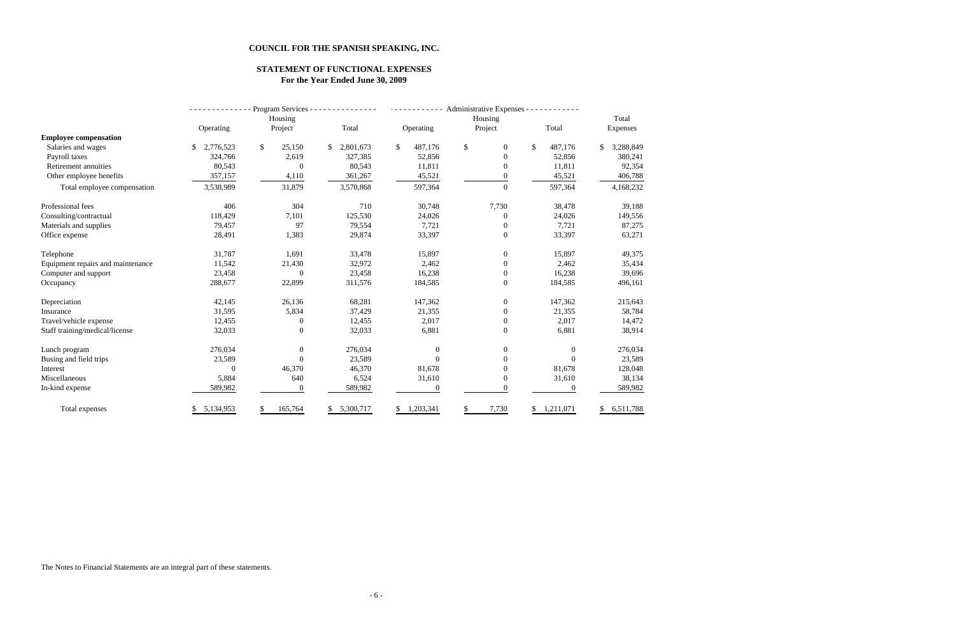|                                   | Program Services -<br>Housing |                  | Administrative Expenses - - |               |                          |                 |                 |
|-----------------------------------|-------------------------------|------------------|-----------------------------|---------------|--------------------------|-----------------|-----------------|
|                                   |                               |                  |                             | Housing       |                          |                 | Total           |
|                                   | Operating                     | Project          | Total                       | Operating     | Project                  | Total           | Expenses        |
| <b>Employee compensation</b>      |                               |                  |                             |               |                          |                 |                 |
| Salaries and wages                | 2,776,523<br>S.               | \$<br>25,150     | 2,801,673<br>\$.            | \$<br>487,176 | $\mathbb{S}$<br>$\Omega$ | 487,176<br>\$.  | 3,288,849<br>\$ |
| Payroll taxes                     | 324,766                       | 2,619            | 327,385                     | 52,856        | $\Omega$                 | 52,856          | 380,241         |
| Retirement annuities              | 80,543                        | $\theta$         | 80,543                      | 11,811        | $\theta$                 | 11,811          | 92,354          |
| Other employee benefits           | 357,157                       | 4,110            | 361,267                     | 45,521        | $\boldsymbol{0}$         | 45,521          | 406,788         |
| Total employee compensation       | 3,538,989                     | 31,879           | 3,570,868                   | 597,364       | $\boldsymbol{0}$         | 597,364         | 4,168,232       |
| Professional fees                 | 406                           | 304              | 710                         | 30,748        | 7,730                    | 38,478          | 39,188          |
| Consulting/contractual            | 118,429                       | 7,101            | 125,530                     | 24,026        | $\theta$                 | 24,026          | 149,556         |
| Materials and supplies            | 79,457                        | 97               | 79,554                      | 7,721         | $\theta$                 | 7,721           | 87,275          |
| Office expense                    | 28,491                        | 1,383            | 29,874                      | 33,397        | $\boldsymbol{0}$         | 33,397          | 63,271          |
| Telephone                         | 31,787                        | 1,691            | 33,478                      | 15,897        | $\boldsymbol{0}$         | 15,897          | 49,375          |
| Equipment repairs and maintenance | 11,542                        | 21,430           | 32,972                      | 2,462         | $\mathbf{0}$             | 2,462           | 35,434          |
| Computer and support              | 23,458                        | $\theta$         | 23,458                      | 16,238        | $\boldsymbol{0}$         | 16,238          | 39,696          |
| Occupancy                         | 288,677                       | 22,899           | 311,576                     | 184,585       | $\boldsymbol{0}$         | 184,585         | 496,161         |
| Depreciation                      | 42,145                        | 26,136           | 68,281                      | 147,362       | $\boldsymbol{0}$         | 147,362         | 215,643         |
| Insurance                         | 31,595                        | 5,834            | 37,429                      | 21,355        | $\overline{0}$           | 21,355          | 58,784          |
| Travel/vehicle expense            | 12,455                        | $\boldsymbol{0}$ | 12,455                      | 2,017         | $\mathbf{0}$             | 2,017           | 14,472          |
| Staff training/medical/license    | 32,033                        | $\mathbf{0}$     | 32,033                      | 6,881         | $\Omega$                 | 6,881           | 38,914          |
| Lunch program                     | 276,034                       | $\boldsymbol{0}$ | 276,034                     | $\theta$      | $\mathbf{0}$             | $\mathbf{0}$    | 276,034         |
| Busing and field trips            | 23,589                        | $\Omega$         | 23,589                      | $\Omega$      | $\theta$                 | $\Omega$        | 23,589          |
| Interest                          | $\theta$                      | 46,370           | 46,370                      | 81,678        | $\mathbf{0}$             | 81,678          | 128,048         |
| Miscellaneous                     | 5,884                         | 640              | 6,524                       | 31,610        | $\theta$                 | 31,610          | 38,134          |
| In-kind expense                   | 589,982                       | $\boldsymbol{0}$ | 589,982                     | $\Omega$      | $\Omega$                 | 0               | 589,982         |
| Total expenses                    | 5,134,953                     | 165,764<br>\$    | 5,300,717                   | 1,203,341     | 7,730<br>\$.             | 1,211,071<br>S. | 6,511,788<br>\$ |

The Notes to Financial Statements are an integral part of these statements.

### **COUNCIL FOR THE SPANISH SPEAKING, INC.**

#### **STATEMENT OF FUNCTIONAL EXPENSES For the Year Ended June 30, 2009**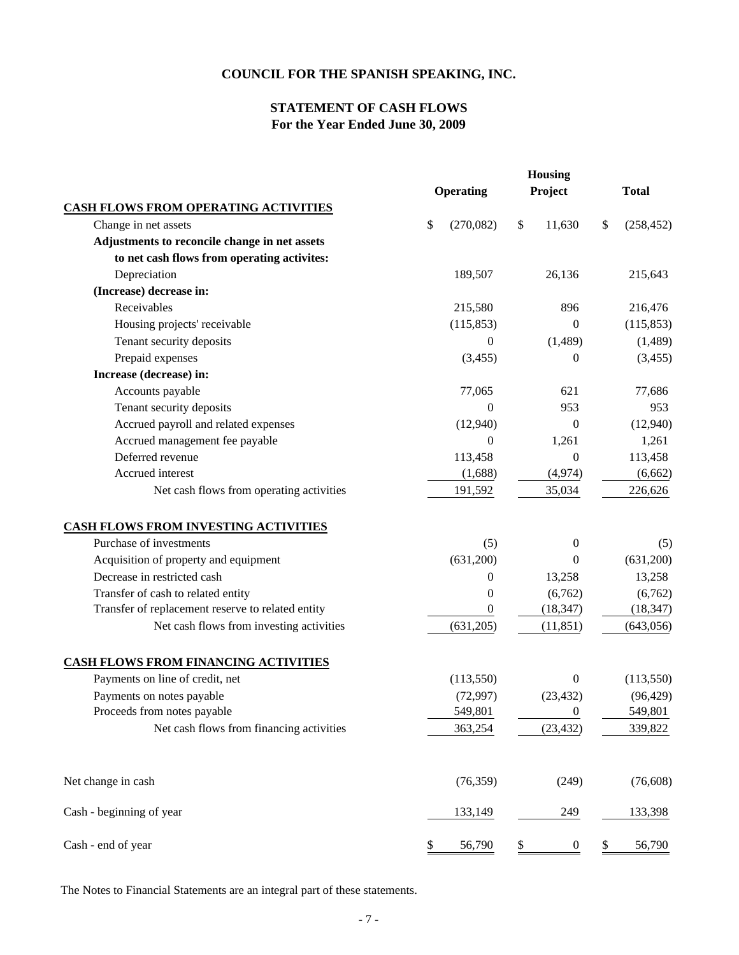### **STATEMENT OF CASH FLOWS For the Year Ended June 30, 2009**

|                                                   | <b>Housing</b>   |                  |      |                  |                  |  |
|---------------------------------------------------|------------------|------------------|------|------------------|------------------|--|
|                                                   | <b>Operating</b> |                  |      | Project          | <b>Total</b>     |  |
| <b>CASH FLOWS FROM OPERATING ACTIVITIES</b>       |                  |                  |      |                  |                  |  |
| Change in net assets                              | \$               | (270,082)        | \$   | 11,630           | \$<br>(258, 452) |  |
| Adjustments to reconcile change in net assets     |                  |                  |      |                  |                  |  |
| to net cash flows from operating activites:       |                  |                  |      |                  |                  |  |
| Depreciation                                      |                  | 189,507          |      | 26,136           | 215,643          |  |
| (Increase) decrease in:                           |                  |                  |      |                  |                  |  |
| Receivables                                       |                  | 215,580          |      | 896              | 216,476          |  |
| Housing projects' receivable                      |                  | (115, 853)       |      | $\Omega$         | (115, 853)       |  |
| Tenant security deposits                          |                  | $\mathbf{0}$     |      | (1, 489)         | (1,489)          |  |
| Prepaid expenses                                  |                  | (3, 455)         |      | $\boldsymbol{0}$ | (3, 455)         |  |
| Increase (decrease) in:                           |                  |                  |      |                  |                  |  |
| Accounts payable                                  |                  | 77,065           |      | 621              | 77,686           |  |
| Tenant security deposits                          |                  | $\theta$         |      | 953              | 953              |  |
| Accrued payroll and related expenses              |                  | (12,940)         |      | $\Omega$         | (12,940)         |  |
| Accrued management fee payable                    |                  | $\theta$         |      | 1,261            | 1,261            |  |
| Deferred revenue                                  |                  | 113,458          |      | $\mathbf{0}$     | 113,458          |  |
| Accrued interest                                  |                  | (1,688)          |      | (4,974)          | (6,662)          |  |
| Net cash flows from operating activities          |                  | 191,592          |      | 35,034           | 226,626          |  |
| <b>CASH FLOWS FROM INVESTING ACTIVITIES</b>       |                  |                  |      |                  |                  |  |
| Purchase of investments                           |                  | (5)              |      | $\mathbf{0}$     | (5)              |  |
| Acquisition of property and equipment             |                  | (631,200)        |      | $\mathbf{0}$     | (631,200)        |  |
| Decrease in restricted cash                       |                  | $\boldsymbol{0}$ |      | 13,258           | 13,258           |  |
| Transfer of cash to related entity                |                  | $\boldsymbol{0}$ |      | (6,762)          | (6,762)          |  |
| Transfer of replacement reserve to related entity |                  | $\boldsymbol{0}$ |      | (18, 347)        | (18, 347)        |  |
| Net cash flows from investing activities          |                  | (631, 205)       |      | (11, 851)        | (643,056)        |  |
| <b>CASH FLOWS FROM FINANCING ACTIVITIES</b>       |                  |                  |      |                  |                  |  |
| Payments on line of credit, net                   |                  | (113, 550)       |      | $\mathbf{0}$     | (113, 550)       |  |
| Payments on notes payable                         |                  | (72, 997)        |      | (23, 432)        | (96, 429)        |  |
| Proceeds from notes payable                       |                  | 549,801          |      | $\boldsymbol{0}$ | 549,801          |  |
|                                                   |                  | 363,254          |      |                  | 339,822          |  |
| Net cash flows from financing activities          |                  |                  |      | (23, 432)        |                  |  |
| Net change in cash                                |                  | (76, 359)        |      | (249)            | (76, 608)        |  |
| Cash - beginning of year                          |                  | 133,149          |      | 249              | 133,398          |  |
| Cash - end of year                                | \$               | 56,790           | $\$$ | $\boldsymbol{0}$ | \$<br>56,790     |  |

The Notes to Financial Statements are an integral part of these statements.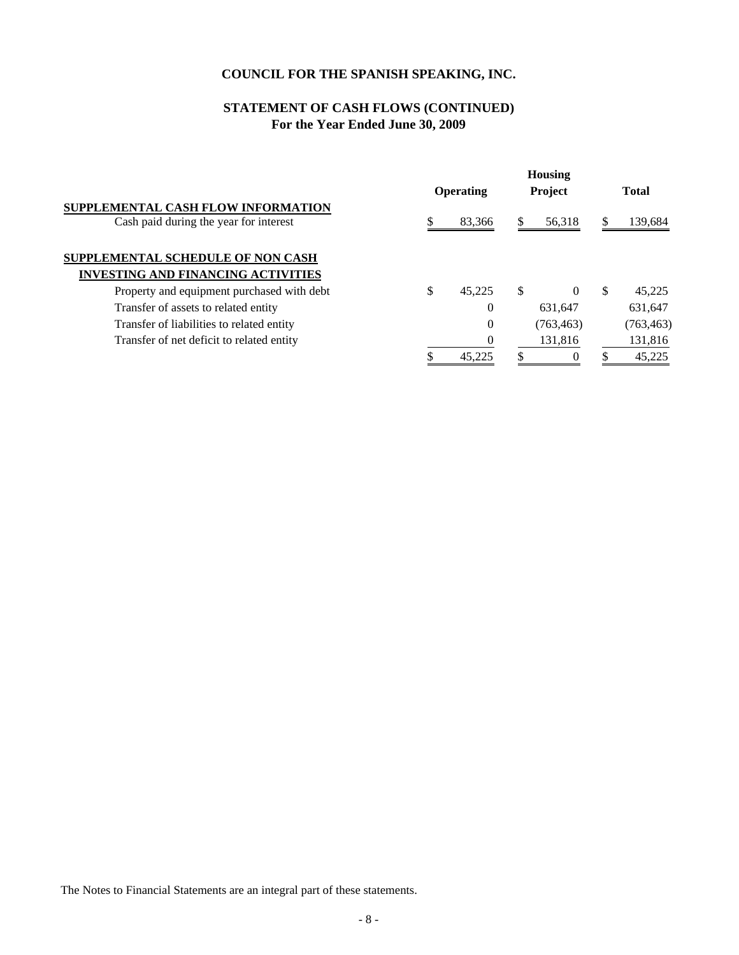### **STATEMENT OF CASH FLOWS (CONTINUED) For the Year Ended June 30, 2009**

|                                                                                |                  |    | <b>Housing</b> |              |
|--------------------------------------------------------------------------------|------------------|----|----------------|--------------|
|                                                                                | <b>Operating</b> |    | Project        | <b>Total</b> |
| SUPPLEMENTAL CASH FLOW INFORMATION<br>Cash paid during the year for interest   | 83,366           | S  | 56,318         | 139,684      |
| SUPPLEMENTAL SCHEDULE OF NON CASH<br><b>INVESTING AND FINANCING ACTIVITIES</b> |                  |    |                |              |
| Property and equipment purchased with debt                                     | \$<br>45.225     | \$ | 0              | \$<br>45.225 |
| Transfer of assets to related entity                                           | $\theta$         |    | 631.647        | 631,647      |
| Transfer of liabilities to related entity                                      | $\Omega$         |    | (763, 463)     | (763, 463)   |
| Transfer of net deficit to related entity                                      | $\theta$         |    | 131,816        | 131,816      |
|                                                                                | 45.225           | \$ | 0              | 45,225       |

The Notes to Financial Statements are an integral part of these statements.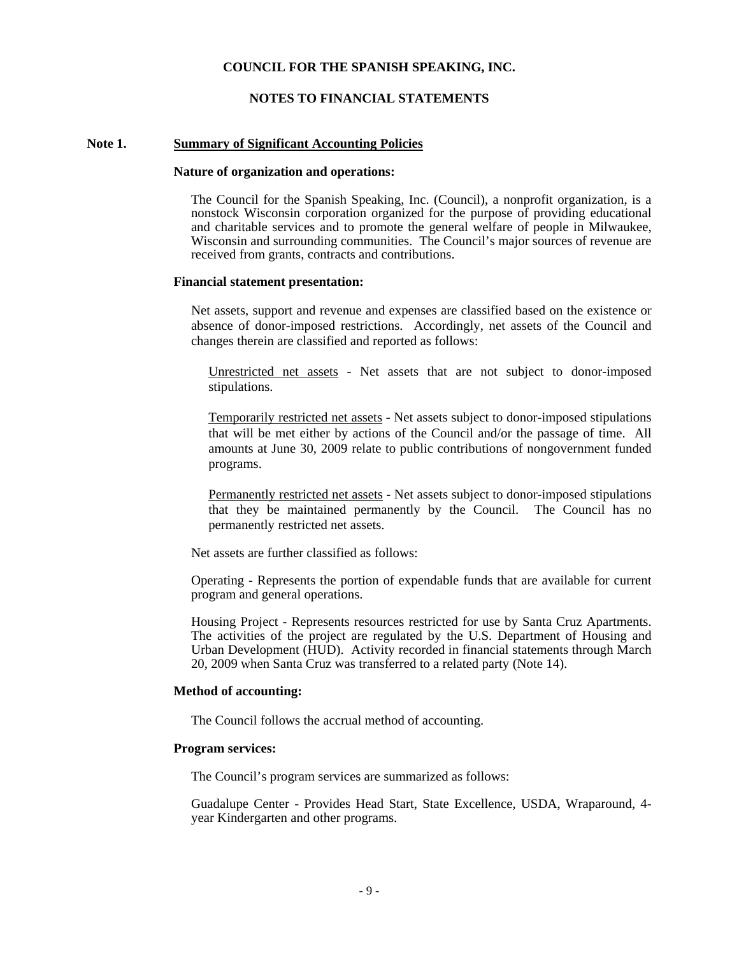#### **NOTES TO FINANCIAL STATEMENTS**

#### **Note 1. Summary of Significant Accounting Policies**

#### **Nature of organization and operations:**

The Council for the Spanish Speaking, Inc. (Council), a nonprofit organization, is a nonstock Wisconsin corporation organized for the purpose of providing educational and charitable services and to promote the general welfare of people in Milwaukee, Wisconsin and surrounding communities. The Council's major sources of revenue are received from grants, contracts and contributions.

#### **Financial statement presentation:**

Net assets, support and revenue and expenses are classified based on the existence or absence of donor-imposed restrictions. Accordingly, net assets of the Council and changes therein are classified and reported as follows:

 Unrestricted net assets - Net assets that are not subject to donor-imposed stipulations.

 Temporarily restricted net assets - Net assets subject to donor-imposed stipulations that will be met either by actions of the Council and/or the passage of time. All amounts at June 30, 2009 relate to public contributions of nongovernment funded programs.

 Permanently restricted net assets - Net assets subject to donor-imposed stipulations that they be maintained permanently by the Council. The Council has no permanently restricted net assets.

Net assets are further classified as follows:

Operating - Represents the portion of expendable funds that are available for current program and general operations.

Housing Project - Represents resources restricted for use by Santa Cruz Apartments. The activities of the project are regulated by the U.S. Department of Housing and Urban Development (HUD). Activity recorded in financial statements through March 20, 2009 when Santa Cruz was transferred to a related party (Note 14).

#### **Method of accounting:**

The Council follows the accrual method of accounting.

#### **Program services:**

The Council's program services are summarized as follows:

Guadalupe Center - Provides Head Start, State Excellence, USDA, Wraparound, 4 year Kindergarten and other programs.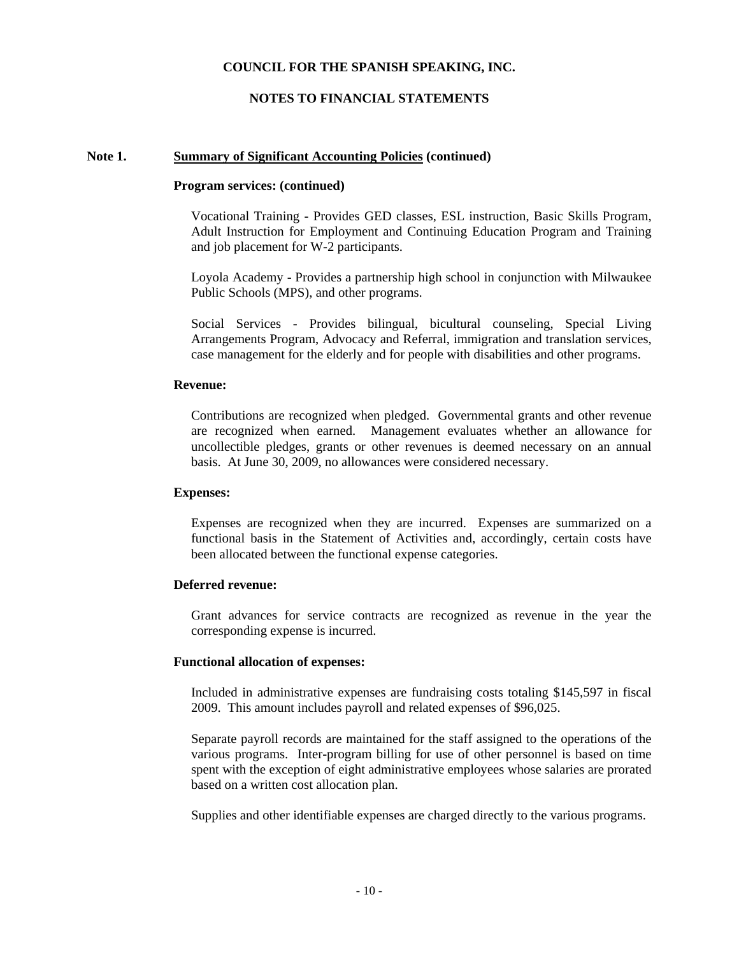#### **NOTES TO FINANCIAL STATEMENTS**

#### **Note 1. Summary of Significant Accounting Policies (continued)**

#### **Program services: (continued)**

Vocational Training - Provides GED classes, ESL instruction, Basic Skills Program, Adult Instruction for Employment and Continuing Education Program and Training and job placement for W-2 participants.

Loyola Academy - Provides a partnership high school in conjunction with Milwaukee Public Schools (MPS), and other programs.

Social Services - Provides bilingual, bicultural counseling, Special Living Arrangements Program, Advocacy and Referral, immigration and translation services, case management for the elderly and for people with disabilities and other programs.

#### **Revenue:**

Contributions are recognized when pledged. Governmental grants and other revenue are recognized when earned. Management evaluates whether an allowance for uncollectible pledges, grants or other revenues is deemed necessary on an annual basis. At June 30, 2009, no allowances were considered necessary.

#### **Expenses:**

Expenses are recognized when they are incurred. Expenses are summarized on a functional basis in the Statement of Activities and, accordingly, certain costs have been allocated between the functional expense categories.

#### **Deferred revenue:**

Grant advances for service contracts are recognized as revenue in the year the corresponding expense is incurred.

#### **Functional allocation of expenses:**

Included in administrative expenses are fundraising costs totaling \$145,597 in fiscal 2009. This amount includes payroll and related expenses of \$96,025.

Separate payroll records are maintained for the staff assigned to the operations of the various programs. Inter-program billing for use of other personnel is based on time spent with the exception of eight administrative employees whose salaries are prorated based on a written cost allocation plan.

Supplies and other identifiable expenses are charged directly to the various programs.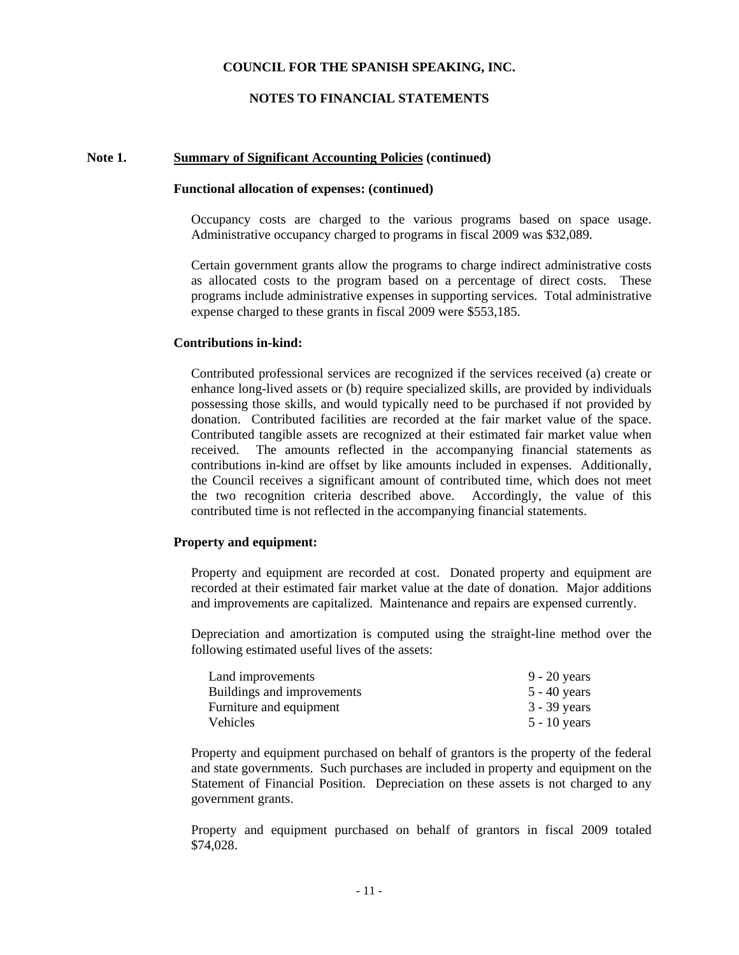#### **NOTES TO FINANCIAL STATEMENTS**

#### **Note 1. Summary of Significant Accounting Policies (continued)**

#### **Functional allocation of expenses: (continued)**

Occupancy costs are charged to the various programs based on space usage. Administrative occupancy charged to programs in fiscal 2009 was \$32,089.

Certain government grants allow the programs to charge indirect administrative costs as allocated costs to the program based on a percentage of direct costs. These programs include administrative expenses in supporting services. Total administrative expense charged to these grants in fiscal 2009 were \$553,185.

#### **Contributions in-kind:**

Contributed professional services are recognized if the services received (a) create or enhance long-lived assets or (b) require specialized skills, are provided by individuals possessing those skills, and would typically need to be purchased if not provided by donation. Contributed facilities are recorded at the fair market value of the space. Contributed tangible assets are recognized at their estimated fair market value when received. The amounts reflected in the accompanying financial statements as contributions in-kind are offset by like amounts included in expenses. Additionally, the Council receives a significant amount of contributed time, which does not meet the two recognition criteria described above. Accordingly, the value of this contributed time is not reflected in the accompanying financial statements.

#### **Property and equipment:**

Property and equipment are recorded at cost. Donated property and equipment are recorded at their estimated fair market value at the date of donation. Major additions and improvements are capitalized. Maintenance and repairs are expensed currently.

Depreciation and amortization is computed using the straight-line method over the following estimated useful lives of the assets:

| Land improvements          | $9 - 20$ years |
|----------------------------|----------------|
| Buildings and improvements | $5 - 40$ years |
| Furniture and equipment    | 3 - 39 years   |
| Vehicles                   | $5 - 10$ years |

Property and equipment purchased on behalf of grantors is the property of the federal and state governments. Such purchases are included in property and equipment on the Statement of Financial Position. Depreciation on these assets is not charged to any government grants.

Property and equipment purchased on behalf of grantors in fiscal 2009 totaled \$74,028.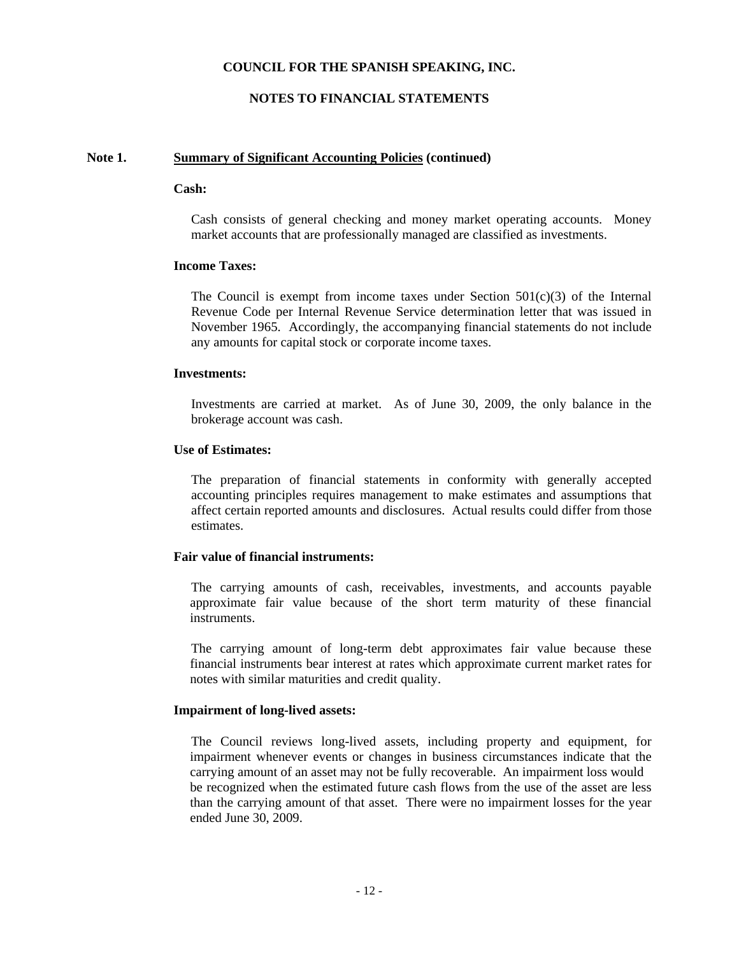#### **NOTES TO FINANCIAL STATEMENTS**

#### **Note 1. Summary of Significant Accounting Policies (continued)**

#### **Cash:**

Cash consists of general checking and money market operating accounts. Money market accounts that are professionally managed are classified as investments.

#### **Income Taxes:**

The Council is exempt from income taxes under Section  $501(c)(3)$  of the Internal Revenue Code per Internal Revenue Service determination letter that was issued in November 1965. Accordingly, the accompanying financial statements do not include any amounts for capital stock or corporate income taxes.

#### **Investments:**

Investments are carried at market. As of June 30, 2009, the only balance in the brokerage account was cash.

#### **Use of Estimates:**

The preparation of financial statements in conformity with generally accepted accounting principles requires management to make estimates and assumptions that affect certain reported amounts and disclosures. Actual results could differ from those estimates.

#### **Fair value of financial instruments:**

The carrying amounts of cash, receivables, investments, and accounts payable approximate fair value because of the short term maturity of these financial instruments.

 The carrying amount of long-term debt approximates fair value because these financial instruments bear interest at rates which approximate current market rates for notes with similar maturities and credit quality.

#### **Impairment of long-lived assets:**

The Council reviews long-lived assets, including property and equipment, for impairment whenever events or changes in business circumstances indicate that the carrying amount of an asset may not be fully recoverable. An impairment loss would be recognized when the estimated future cash flows from the use of the asset are less than the carrying amount of that asset. There were no impairment losses for the year ended June 30, 2009.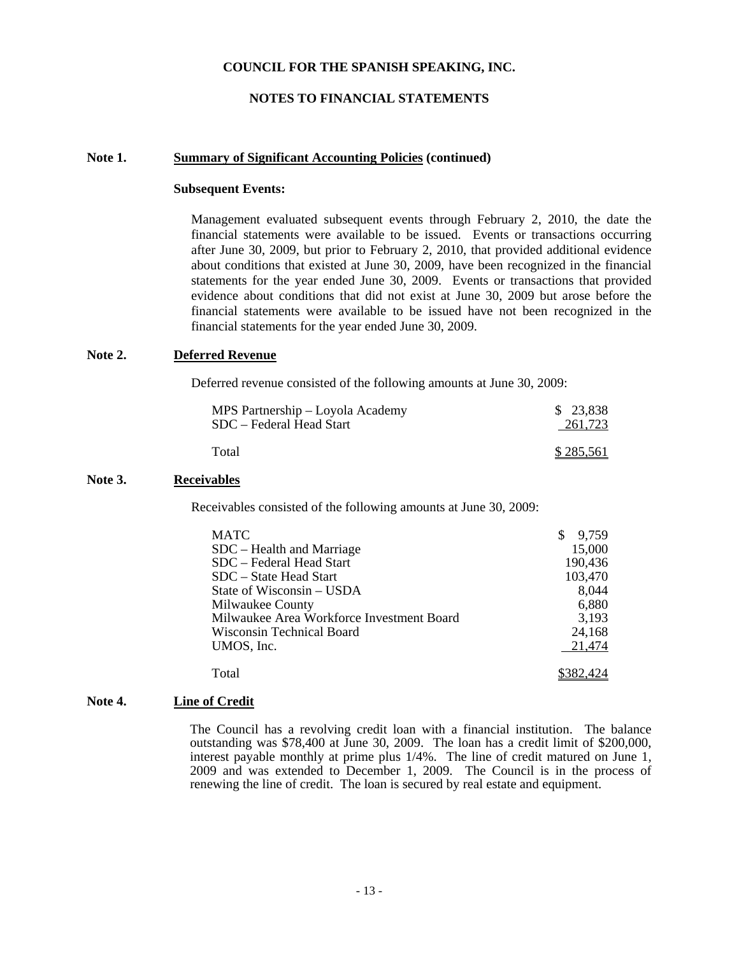#### **NOTES TO FINANCIAL STATEMENTS**

#### **Note 1. Summary of Significant Accounting Policies (continued)**

#### **Subsequent Events:**

Management evaluated subsequent events through February 2, 2010, the date the financial statements were available to be issued. Events or transactions occurring after June 30, 2009, but prior to February 2, 2010, that provided additional evidence about conditions that existed at June 30, 2009, have been recognized in the financial statements for the year ended June 30, 2009. Events or transactions that provided evidence about conditions that did not exist at June 30, 2009 but arose before the financial statements were available to be issued have not been recognized in the financial statements for the year ended June 30, 2009.

#### **Note 2. Deferred Revenue**

Deferred revenue consisted of the following amounts at June 30, 2009:

| MPS Partnership – Loyola Academy<br>SDC – Federal Head Start |           |  |
|--------------------------------------------------------------|-----------|--|
| Total                                                        | \$285,561 |  |

#### **Note 3. Receivables**

Receivables consisted of the following amounts at June 30, 2009:

| <b>MATC</b>                               | \$9,759 |
|-------------------------------------------|---------|
| SDC – Health and Marriage                 | 15,000  |
| SDC – Federal Head Start                  | 190,436 |
| SDC – State Head Start                    | 103,470 |
| State of Wisconsin – USDA                 | 8,044   |
| Milwaukee County                          | 6,880   |
| Milwaukee Area Workforce Investment Board | 3,193   |
| <b>Wisconsin Technical Board</b>          | 24,168  |
| UMOS, Inc.                                | 21,474  |
| Total                                     |         |

#### **Note 4. Line of Credit**

The Council has a revolving credit loan with a financial institution. The balance outstanding was \$78,400 at June 30, 2009. The loan has a credit limit of \$200,000, interest payable monthly at prime plus 1/4%. The line of credit matured on June 1, 2009 and was extended to December 1, 2009. The Council is in the process of renewing the line of credit. The loan is secured by real estate and equipment.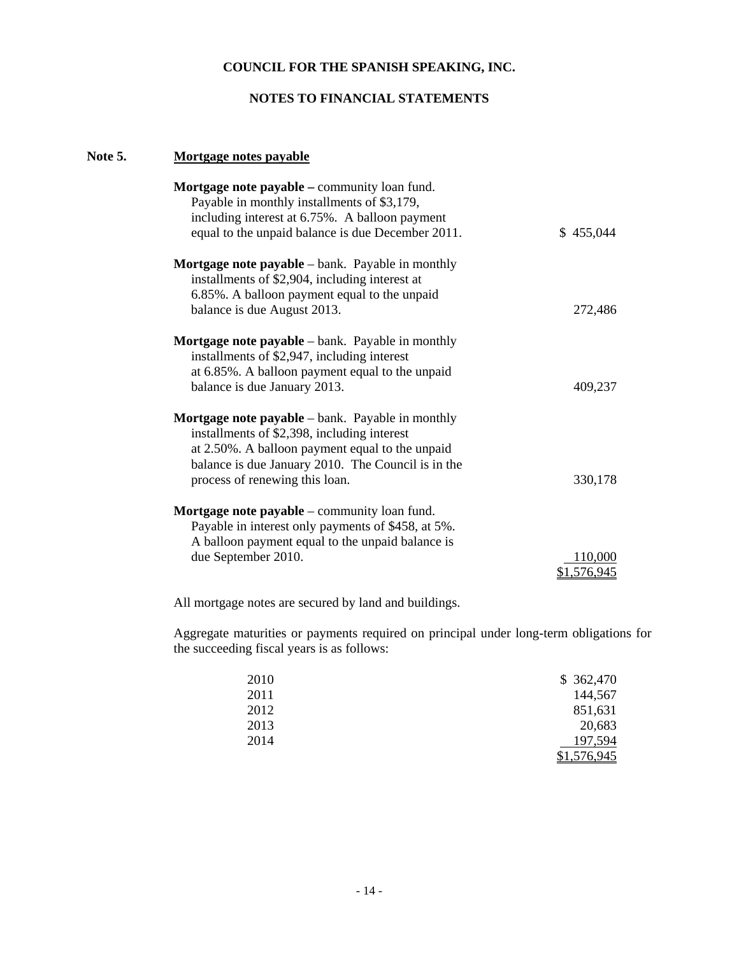### **NOTES TO FINANCIAL STATEMENTS**

### **Note 5. Mortgage notes payable**

| Mortgage note payable – community loan fund.<br>Payable in monthly installments of \$3,179,<br>including interest at 6.75%. A balloon payment<br>equal to the unpaid balance is due December 2011.                                                  | \$455,044                     |
|-----------------------------------------------------------------------------------------------------------------------------------------------------------------------------------------------------------------------------------------------------|-------------------------------|
| <b>Mortgage note payable</b> $-$ bank. Payable in monthly<br>installments of \$2,904, including interest at<br>6.85%. A balloon payment equal to the unpaid<br>balance is due August 2013.                                                          | 272,486                       |
| <b>Mortgage note payable</b> $-$ bank. Payable in monthly<br>installments of \$2,947, including interest<br>at 6.85%. A balloon payment equal to the unpaid<br>balance is due January 2013.                                                         | 409,237                       |
| <b>Mortgage note payable</b> $-$ bank. Payable in monthly<br>installments of \$2,398, including interest<br>at 2.50%. A balloon payment equal to the unpaid<br>balance is due January 2010. The Council is in the<br>process of renewing this loan. | 330,178                       |
| <b>Mortgage note payable</b> – community loan fund.<br>Payable in interest only payments of \$458, at 5%.<br>A balloon payment equal to the unpaid balance is<br>due September 2010.                                                                | 110,000<br><u>\$1,576,945</u> |

All mortgage notes are secured by land and buildings.

 Aggregate maturities or payments required on principal under long-term obligations for the succeeding fiscal years is as follows:

| 2010 | \$362,470   |
|------|-------------|
| 2011 | 144,567     |
| 2012 | 851,631     |
| 2013 | 20,683      |
| 2014 | 197,594     |
|      | \$1,576,945 |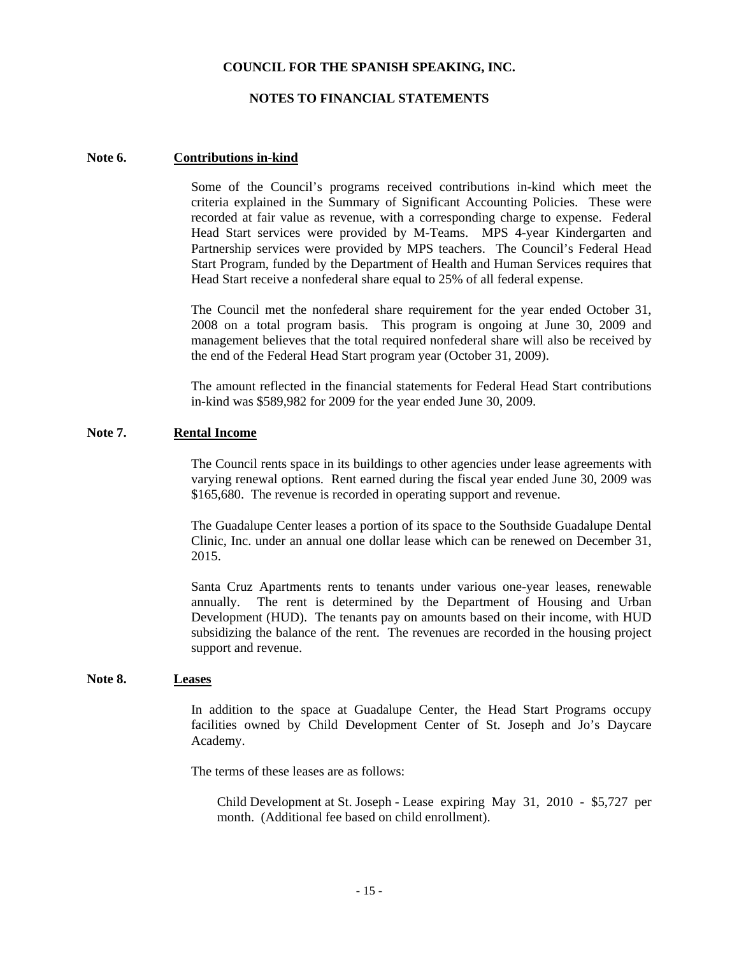#### **NOTES TO FINANCIAL STATEMENTS**

#### **Note 6. Contributions in-kind**

Some of the Council's programs received contributions in-kind which meet the criteria explained in the Summary of Significant Accounting Policies. These were recorded at fair value as revenue, with a corresponding charge to expense. Federal Head Start services were provided by M-Teams. MPS 4-year Kindergarten and Partnership services were provided by MPS teachers. The Council's Federal Head Start Program, funded by the Department of Health and Human Services requires that Head Start receive a nonfederal share equal to 25% of all federal expense.

The Council met the nonfederal share requirement for the year ended October 31, 2008 on a total program basis. This program is ongoing at June 30, 2009 and management believes that the total required nonfederal share will also be received by the end of the Federal Head Start program year (October 31, 2009).

The amount reflected in the financial statements for Federal Head Start contributions in-kind was \$589,982 for 2009 for the year ended June 30, 2009.

#### **Note 7. Rental Income**

The Council rents space in its buildings to other agencies under lease agreements with varying renewal options. Rent earned during the fiscal year ended June 30, 2009 was \$165,680. The revenue is recorded in operating support and revenue.

The Guadalupe Center leases a portion of its space to the Southside Guadalupe Dental Clinic, Inc. under an annual one dollar lease which can be renewed on December 31, 2015.

Santa Cruz Apartments rents to tenants under various one-year leases, renewable annually. The rent is determined by the Department of Housing and Urban Development (HUD). The tenants pay on amounts based on their income, with HUD subsidizing the balance of the rent. The revenues are recorded in the housing project support and revenue.

#### **Note 8. Leases**

In addition to the space at Guadalupe Center, the Head Start Programs occupy facilities owned by Child Development Center of St. Joseph and Jo's Daycare Academy.

The terms of these leases are as follows:

 Child Development at St. Joseph - Lease expiring May 31, 2010 - \$5,727 per month. (Additional fee based on child enrollment).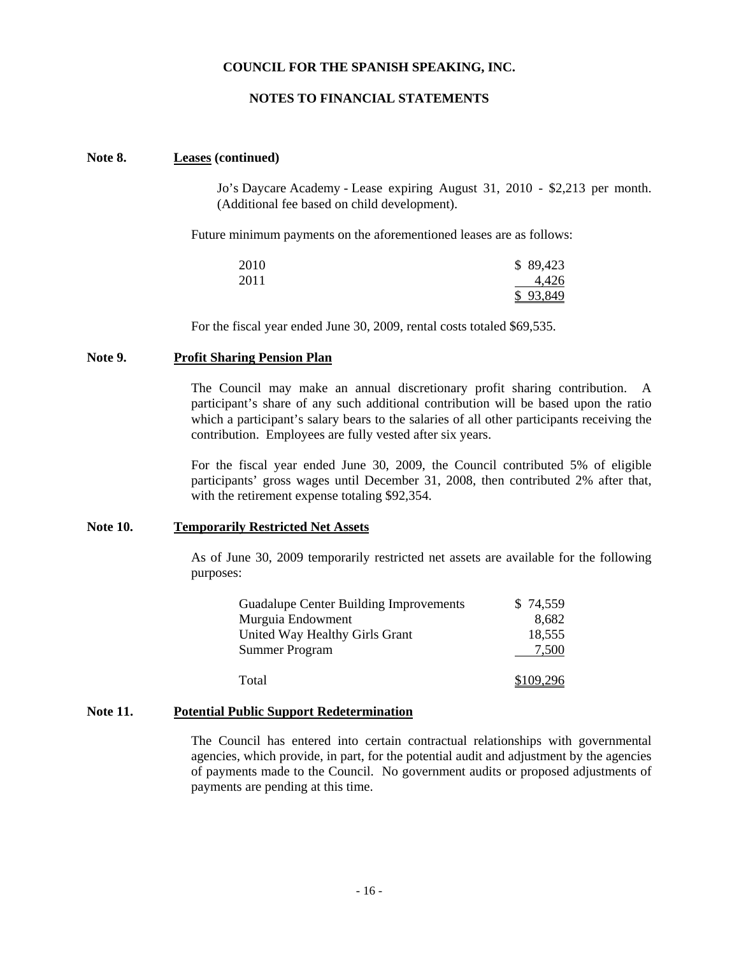#### **NOTES TO FINANCIAL STATEMENTS**

#### **Note 8. Leases (continued)**

 Jo's Daycare Academy - Lease expiring August 31, 2010 - \$2,213 per month. (Additional fee based on child development).

Future minimum payments on the aforementioned leases are as follows:

| 2010 | \$89,423 |
|------|----------|
| 2011 | 4,426    |
|      | \$93,849 |

For the fiscal year ended June 30, 2009, rental costs totaled \$69,535.

#### Note 9. Profit Sharing Pension Plan

The Council may make an annual discretionary profit sharing contribution. A participant's share of any such additional contribution will be based upon the ratio which a participant's salary bears to the salaries of all other participants receiving the contribution. Employees are fully vested after six years.

For the fiscal year ended June 30, 2009, the Council contributed 5% of eligible participants' gross wages until December 31, 2008, then contributed 2% after that, with the retirement expense totaling \$92,354.

#### **Note 10. Temporarily Restricted Net Assets**

 As of June 30, 2009 temporarily restricted net assets are available for the following purposes:

| Guadalupe Center Building Improvements | \$74,559  |
|----------------------------------------|-----------|
| Murguia Endowment                      | 8,682     |
| United Way Healthy Girls Grant         | 18,555    |
| <b>Summer Program</b>                  | 7,500     |
|                                        |           |
| Total                                  | \$109.296 |

#### **Note 11. Potential Public Support Redetermination**

The Council has entered into certain contractual relationships with governmental agencies, which provide, in part, for the potential audit and adjustment by the agencies of payments made to the Council. No government audits or proposed adjustments of payments are pending at this time.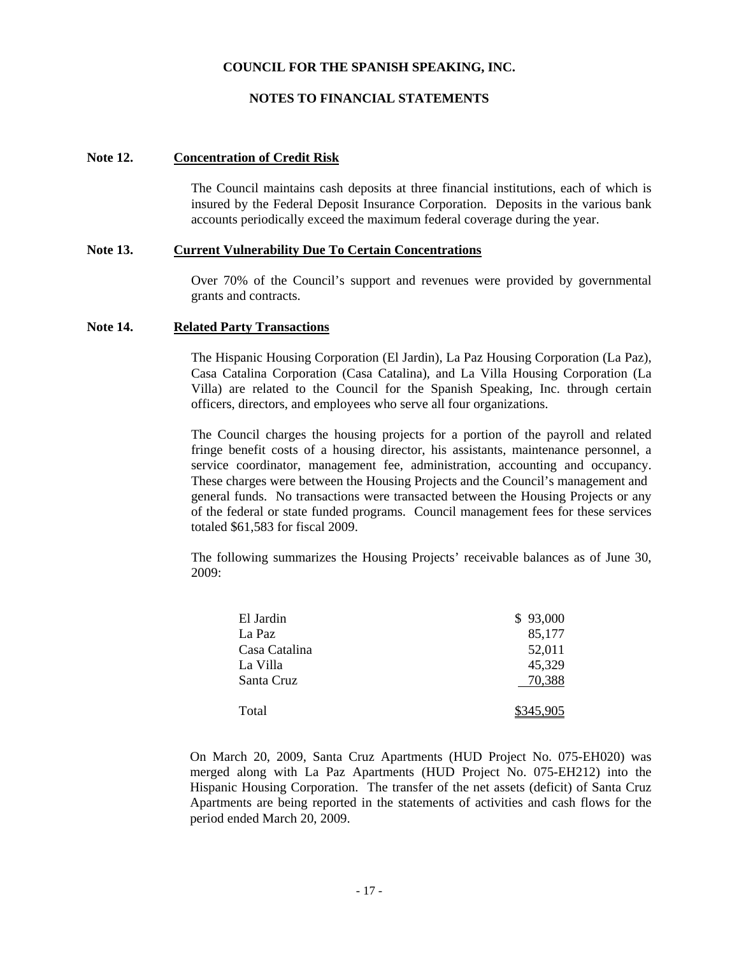#### **NOTES TO FINANCIAL STATEMENTS**

#### **Note 12. Concentration of Credit Risk**

The Council maintains cash deposits at three financial institutions, each of which is insured by the Federal Deposit Insurance Corporation. Deposits in the various bank accounts periodically exceed the maximum federal coverage during the year.

### **Note 13. Current Vulnerability Due To Certain Concentrations**

Over 70% of the Council's support and revenues were provided by governmental grants and contracts.

#### **Note 14. Related Party Transactions**

The Hispanic Housing Corporation (El Jardin), La Paz Housing Corporation (La Paz), Casa Catalina Corporation (Casa Catalina), and La Villa Housing Corporation (La Villa) are related to the Council for the Spanish Speaking, Inc. through certain officers, directors, and employees who serve all four organizations.

The Council charges the housing projects for a portion of the payroll and related fringe benefit costs of a housing director, his assistants, maintenance personnel, a service coordinator, management fee, administration, accounting and occupancy. These charges were between the Housing Projects and the Council's management and general funds. No transactions were transacted between the Housing Projects or any of the federal or state funded programs. Council management fees for these services totaled \$61,583 for fiscal 2009.

The following summarizes the Housing Projects' receivable balances as of June 30, 2009:

| El Jardin     | \$93,000  |
|---------------|-----------|
| La Paz        | 85,177    |
| Casa Catalina | 52,011    |
| La Villa      | 45,329    |
| Santa Cruz    | 70,388    |
|               |           |
| Total         | \$345,905 |

On March 20, 2009, Santa Cruz Apartments (HUD Project No. 075-EH020) was merged along with La Paz Apartments (HUD Project No. 075-EH212) into the Hispanic Housing Corporation. The transfer of the net assets (deficit) of Santa Cruz Apartments are being reported in the statements of activities and cash flows for the period ended March 20, 2009.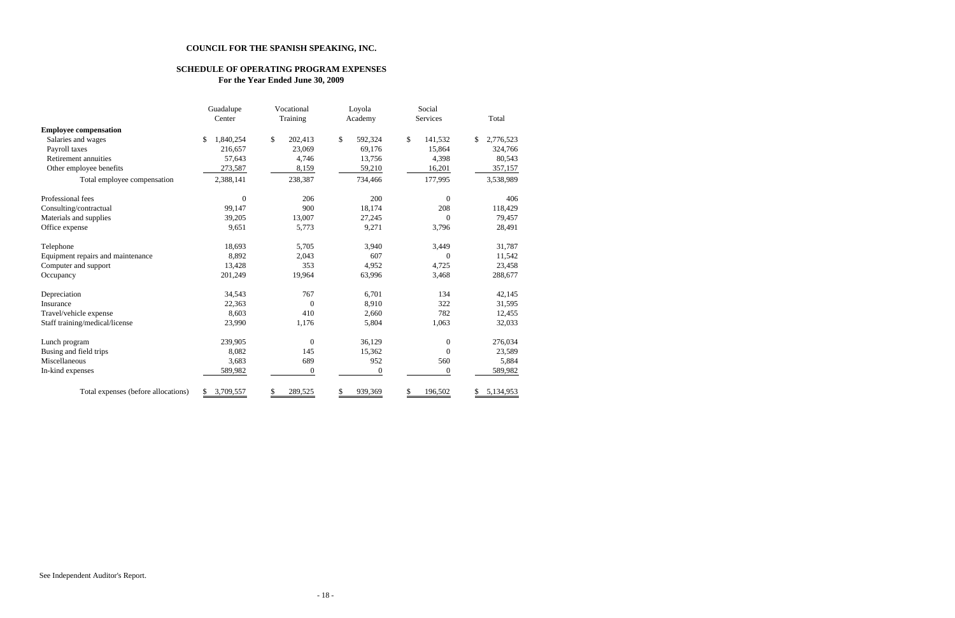|                                     | Guadalupe       | Vocational       | Loyola           | Social           |                 |
|-------------------------------------|-----------------|------------------|------------------|------------------|-----------------|
|                                     | Center          | Training         | Academy          | Services         | Total           |
| <b>Employee compensation</b>        |                 |                  |                  |                  |                 |
| Salaries and wages                  | \$<br>1,840,254 | \$<br>202,413    | \$<br>592,324    | \$<br>141,532    | \$<br>2,776,523 |
| Payroll taxes                       | 216,657         | 23,069           | 69,176           | 15,864           | 324,766         |
| Retirement annuities                | 57,643          | 4,746            | 13,756           | 4,398            | 80,543          |
| Other employee benefits             | 273,587         | 8,159            | 59,210           | 16,201           | 357,157         |
| Total employee compensation         | 2,388,141       | 238,387          | 734,466          | 177,995          | 3,538,989       |
| Professional fees                   | $\overline{0}$  | 206              | 200              | $\boldsymbol{0}$ | 406             |
| Consulting/contractual              | 99,147          | 900              | 18,174           | 208              | 118,429         |
| Materials and supplies              | 39,205          | 13,007           | 27,245           | $\theta$         | 79,457          |
| Office expense                      | 9,651           | 5,773            | 9,271            | 3,796            | 28,491          |
| Telephone                           | 18,693          | 5,705            | 3,940            | 3,449            | 31,787          |
| Equipment repairs and maintenance   | 8,892           | 2,043            | 607              | $\theta$         | 11,542          |
| Computer and support                | 13,428          | 353              | 4,952            | 4,725            | 23,458          |
| Occupancy                           | 201,249         | 19,964           | 63,996           | 3,468            | 288,677         |
| Depreciation                        | 34,543          | 767              | 6,701            | 134              | 42,145          |
| Insurance                           | 22,363          | $\boldsymbol{0}$ | 8,910            | 322              | 31,595          |
| Travel/vehicle expense              | 8,603           | 410              | 2,660            | 782              | 12,455          |
| Staff training/medical/license      | 23,990          | 1,176            | 5,804            | 1,063            | 32,033          |
| Lunch program                       | 239,905         | $\boldsymbol{0}$ | 36,129           | $\boldsymbol{0}$ | 276,034         |
| Busing and field trips              | 8,082           | 145              | 15,362           | $\Omega$         | 23,589          |
| Miscellaneous                       | 3,683           | 689              | 952              | 560              | 5,884           |
| In-kind expenses                    | 589,982         | $\boldsymbol{0}$ | $\boldsymbol{0}$ | $\boldsymbol{0}$ | 589,982         |
| Total expenses (before allocations) | 3,709,557       | \$<br>289,525    | 939,369<br>\$    | \$<br>196,502    | 5,134,953       |

#### **SCHEDULE OF OPERATING PROGRAM EXPENSES For the Year Ended June 30, 2009**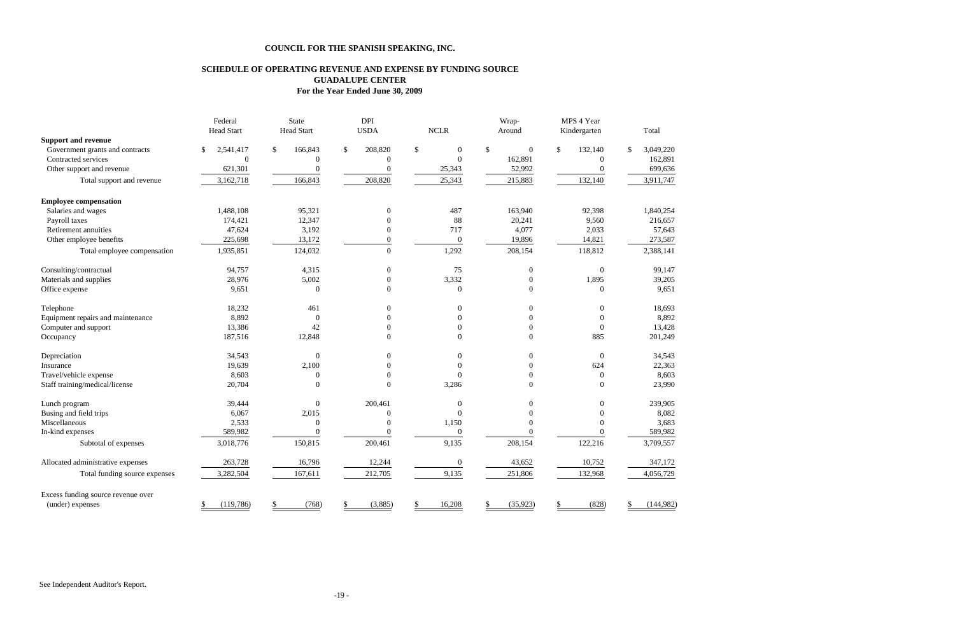|                                    | Federal<br><b>Head Start</b> | <b>State</b><br><b>Head Start</b> | <b>DPI</b><br><b>USDA</b> | <b>NCLR</b>          | Wrap-<br>Around      | MPS 4 Year<br>Kindergarten | Total           |
|------------------------------------|------------------------------|-----------------------------------|---------------------------|----------------------|----------------------|----------------------------|-----------------|
| <b>Support and revenue</b>         |                              |                                   |                           |                      |                      |                            |                 |
| Government grants and contracts    | \$<br>2,541,417              | 166,843<br>\$                     | 208,820<br>\$             | \$<br>$\overline{0}$ | \$<br>$\overline{0}$ | 132,140<br>\$              | 3,049,220<br>\$ |
| Contracted services                | $\Omega$                     | 0                                 | $\boldsymbol{0}$          | $\Omega$             | 162,891              | $\boldsymbol{0}$           | 162,891         |
| Other support and revenue          | 621,301                      | $\boldsymbol{0}$                  | $\mathbf{0}$              | 25,343               | 52,992               | $\boldsymbol{0}$           | 699,636         |
| Total support and revenue          | 3,162,718                    | 166,843                           | 208,820                   | 25,343               | 215,883              | 132,140                    | 3,911,747       |
| <b>Employee compensation</b>       |                              |                                   |                           |                      |                      |                            |                 |
| Salaries and wages                 | 1,488,108                    | 95,321                            | $\boldsymbol{0}$          | 487                  | 163,940              | 92,398                     | 1,840,254       |
| Payroll taxes                      | 174,421                      | 12,347                            | $\boldsymbol{0}$          | 88                   | 20,241               | 9,560                      | 216,657         |
| Retirement annuities               | 47,624                       | 3,192                             | $\theta$                  | 717                  | 4,077                | 2,033                      | 57,643          |
| Other employee benefits            | 225,698                      | 13,172                            | $\overline{0}$            | $\boldsymbol{0}$     | 19,896               | 14,821                     | 273,587         |
| Total employee compensation        | 1,935,851                    | 124,032                           | $\overline{0}$            | 1,292                | 208,154              | 118,812                    | 2,388,141       |
| Consulting/contractual             | 94,757                       | 4,315                             | $\boldsymbol{0}$          | 75                   | $\boldsymbol{0}$     | $\boldsymbol{0}$           | 99,147          |
| Materials and supplies             | 28,976                       | 5,002                             | $\boldsymbol{0}$          | 3,332                | $\boldsymbol{0}$     | 1,895                      | 39,205          |
| Office expense                     | 9,651                        | $\Omega$                          | $\overline{0}$            | $\mathbf{0}$         | $\overline{0}$       | $\overline{0}$             | 9,651           |
| Telephone                          | 18,232                       | 461                               | $\boldsymbol{0}$          | $\boldsymbol{0}$     | $\boldsymbol{0}$     | $\boldsymbol{0}$           | 18,693          |
| Equipment repairs and maintenance  | 8,892                        | $\Omega$                          | $\Omega$                  | $\Omega$             | $\boldsymbol{0}$     | $\boldsymbol{0}$           | 8,892           |
| Computer and support               | 13,386                       | 42                                | $\theta$                  | $\Omega$             | $\mathbf{0}$         | $\boldsymbol{0}$           | 13,428          |
| Occupancy                          | 187,516                      | 12,848                            | $\Omega$                  | $\Omega$             | $\Omega$             | 885                        | 201,249         |
| Depreciation                       | 34,543                       | $\mathbf{0}$                      | $\theta$                  | $\Omega$             | $\mathbf{0}$         | $\boldsymbol{0}$           | 34,543          |
| Insurance                          | 19,639                       | 2,100                             | $\overline{0}$            | $\Omega$             | $\boldsymbol{0}$     | 624                        | 22,363          |
| Travel/vehicle expense             | 8,603                        | $\mathbf{0}$                      | $\theta$                  | $\Omega$             | $\boldsymbol{0}$     | $\boldsymbol{0}$           | 8,603           |
| Staff training/medical/license     | 20,704                       | $\Omega$                          | $\Omega$                  | 3,286                | $\Omega$             | $\Omega$                   | 23,990          |
| Lunch program                      | 39,444                       | $\overline{0}$                    | 200,461                   | $\mathbf{0}$         | $\mathbf{0}$         | $\boldsymbol{0}$           | 239,905         |
| Busing and field trips             | 6,067                        | 2,015                             | $\boldsymbol{0}$          | $\Omega$             | $\mathbf{0}$         | $\overline{0}$             | 8,082           |
| Miscellaneous                      | 2,533                        | $\theta$                          | $\mathbf{0}$              | 1,150                | $\Omega$             | $\boldsymbol{0}$           | 3,683           |
| In-kind expenses                   | 589,982                      | $\Omega$                          | $\Omega$                  | $\theta$             | $\Omega$             | $\Omega$                   | 589,982         |
| Subtotal of expenses               | 3,018,776                    | 150,815                           | 200,461                   | 9,135                | 208,154              | 122,216                    | 3,709,557       |
| Allocated administrative expenses  | 263,728                      | 16,796                            | 12,244                    | $\boldsymbol{0}$     | 43,652               | 10,752                     | 347,172         |
| Total funding source expenses      | 3,282,504                    | 167,611                           | 212,705                   | 9,135                | 251,806              | 132,968                    | 4,056,729       |
| Excess funding source revenue over |                              |                                   |                           |                      |                      |                            |                 |
| (under) expenses                   | (119,786)                    | (768)                             | (3,885)<br>\$             | 16,208               | (35, 923)            | (828)                      | (144, 982)      |

### **SCHEDULE OF OPERATING REVENUE AND EXPENSE BY FUNDING SOURCE GUADALUPE CENTER For the Year Ended June 30, 2009**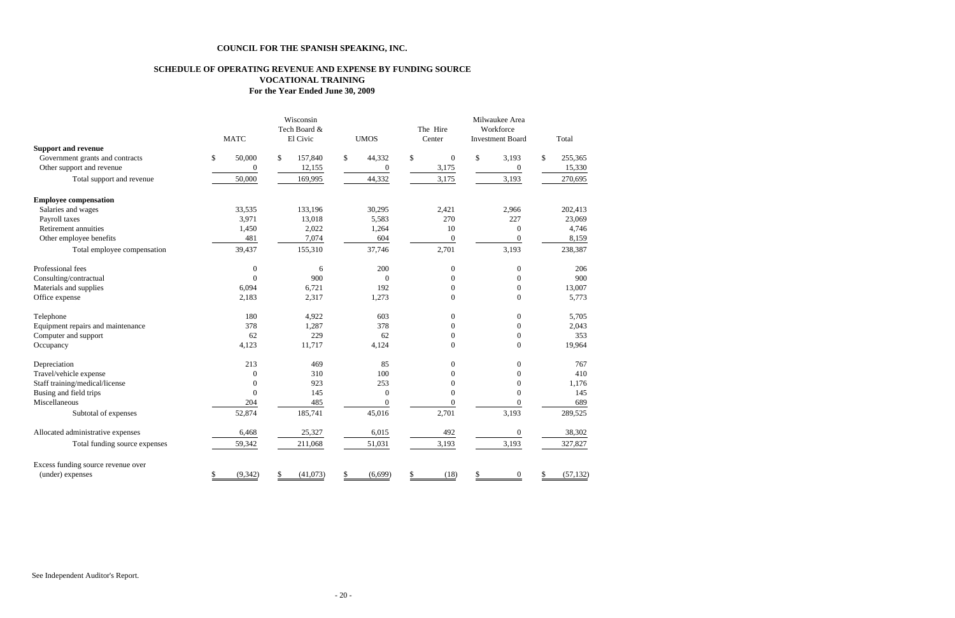|                                    | <b>MATC</b>      | Wisconsin<br>Tech Board &<br>El Civic | <b>UMOS</b>      |               | The Hire<br>Center |    | Milwaukee Area<br>Workforce<br><b>Investment Board</b> |                           | Total     |
|------------------------------------|------------------|---------------------------------------|------------------|---------------|--------------------|----|--------------------------------------------------------|---------------------------|-----------|
| <b>Support and revenue</b>         |                  |                                       |                  |               |                    |    |                                                        |                           |           |
| Government grants and contracts    | \$<br>50,000     | \$<br>157,840                         | \$<br>44,332     | $\mathcal{S}$ | $\boldsymbol{0}$   | \$ | 3,193                                                  | $\boldsymbol{\mathsf{S}}$ | 255,365   |
| Other support and revenue          | $\boldsymbol{0}$ | 12,155                                | $\boldsymbol{0}$ |               | 3,175              |    | $\boldsymbol{0}$                                       |                           | 15,330    |
| Total support and revenue          | 50,000           | 169,995                               | 44,332           |               | 3,175              |    | 3,193                                                  |                           | 270,695   |
| <b>Employee compensation</b>       |                  |                                       |                  |               |                    |    |                                                        |                           |           |
| Salaries and wages                 | 33,535           | 133,196                               | 30,295           |               | 2,421              |    | 2,966                                                  |                           | 202,413   |
| Payroll taxes                      | 3,971            | 13,018                                | 5,583            |               | 270                |    | 227                                                    |                           | 23,069    |
| Retirement annuities               | 1,450            | 2,022                                 | 1,264            |               | 10                 |    | $\boldsymbol{0}$                                       |                           | 4,746     |
| Other employee benefits            | 481              | 7,074                                 | 604              |               | $\boldsymbol{0}$   |    | $\boldsymbol{0}$                                       |                           | 8,159     |
| Total employee compensation        | 39,437           | 155,310                               | 37,746           |               | 2,701              |    | 3,193                                                  |                           | 238,387   |
| Professional fees                  | $\boldsymbol{0}$ | 6                                     | 200              |               | $\boldsymbol{0}$   |    | $\boldsymbol{0}$                                       |                           | 206       |
| Consulting/contractual             | $\theta$         | 900                                   | $\overline{0}$   |               | $\boldsymbol{0}$   |    | $\overline{0}$                                         |                           | 900       |
| Materials and supplies             | 6,094            | 6,721                                 | 192              |               | $\overline{0}$     |    | $\boldsymbol{0}$                                       |                           | 13,007    |
| Office expense                     | 2,183            | 2,317                                 | 1,273            |               | $\boldsymbol{0}$   |    | $\boldsymbol{0}$                                       |                           | 5,773     |
| Telephone                          | 180              | 4,922                                 | 603              |               | $\boldsymbol{0}$   |    | $\boldsymbol{0}$                                       |                           | 5,705     |
| Equipment repairs and maintenance  | 378              | 1,287                                 | 378              |               | 0                  |    | $\boldsymbol{0}$                                       |                           | 2,043     |
| Computer and support               | 62               | 229                                   | 62               |               | $\boldsymbol{0}$   |    | $\boldsymbol{0}$                                       |                           | 353       |
| Occupancy                          | 4,123            | 11,717                                | 4,124            |               | $\boldsymbol{0}$   |    | $\boldsymbol{0}$                                       |                           | 19,964    |
| Depreciation                       | 213              | 469                                   | 85               |               | $\overline{0}$     |    | $\boldsymbol{0}$                                       |                           | 767       |
| Travel/vehicle expense             | $\theta$         | 310                                   | 100              |               | $\theta$           |    | $\theta$                                               |                           | 410       |
| Staff training/medical/license     | $\theta$         | 923                                   | 253              |               | $\overline{0}$     |    | $\boldsymbol{0}$                                       |                           | 1,176     |
| Busing and field trips             | $\theta$         | 145                                   | $\boldsymbol{0}$ |               | $\overline{0}$     |    | $\theta$                                               |                           | 145       |
| Miscellaneous                      | 204              | 485                                   | $\boldsymbol{0}$ |               | $\boldsymbol{0}$   |    | $\boldsymbol{0}$                                       |                           | 689       |
| Subtotal of expenses               | 52,874           | 185,741                               | 45,016           |               | 2,701              |    | 3,193                                                  |                           | 289,525   |
| Allocated administrative expenses  | 6,468            | 25,327                                | 6,015            |               | 492                |    | $\boldsymbol{0}$                                       |                           | 38,302    |
| Total funding source expenses      | 59,342           | 211,068                               | 51,031           |               | 3,193              |    | 3,193                                                  |                           | 327,827   |
| Excess funding source revenue over |                  |                                       |                  |               |                    |    |                                                        |                           |           |
| (under) expenses                   | \$<br>(9, 342)   | \$<br>(41,073)                        | \$<br>(6,699)    | \$            | (18)               | S  | $\boldsymbol{0}$                                       | \$                        | (57, 132) |

### **SCHEDULE OF OPERATING REVENUE AND EXPENSE BY FUNDING SOURCE VOCATIONAL TRAINING For the Year Ended June 30, 2009**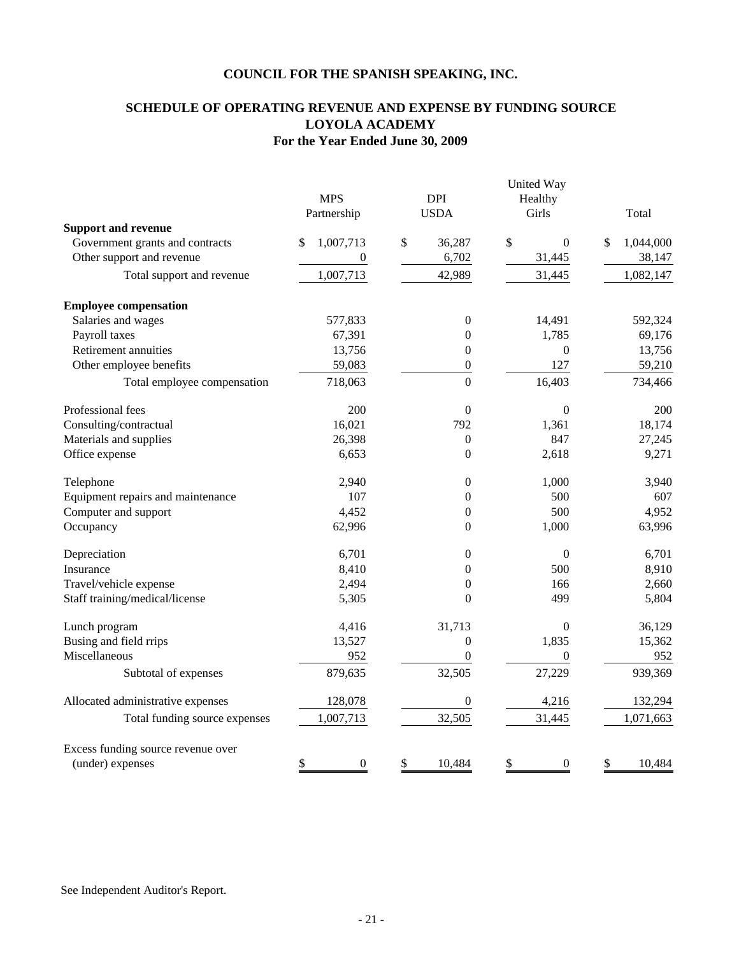### **For the Year Ended June 30, 2009 LOYOLA ACADEMY SCHEDULE OF OPERATING REVENUE AND EXPENSE BY FUNDING SOURCE**

|                                    | <b>MPS</b><br>Partnership | <b>DPI</b><br><b>USDA</b> | United Way<br>Healthy<br>Girls | Total           |
|------------------------------------|---------------------------|---------------------------|--------------------------------|-----------------|
| <b>Support and revenue</b>         |                           |                           |                                |                 |
| Government grants and contracts    | \$<br>1,007,713           | \$<br>36,287              | \$<br>$\overline{0}$           | \$<br>1,044,000 |
| Other support and revenue          | 0                         | 6,702                     | 31,445                         | 38,147          |
| Total support and revenue          | 1,007,713                 | 42,989                    | 31,445                         | 1,082,147       |
| <b>Employee compensation</b>       |                           |                           |                                |                 |
| Salaries and wages                 | 577,833                   | $\theta$                  | 14,491                         | 592,324         |
| Payroll taxes                      | 67,391                    | $\boldsymbol{0}$          | 1,785                          | 69,176          |
| Retirement annuities               | 13,756                    | $\boldsymbol{0}$          | $\boldsymbol{0}$               | 13,756          |
| Other employee benefits            | 59,083                    | $\boldsymbol{0}$          | 127                            | 59,210          |
| Total employee compensation        | 718,063                   | $\overline{0}$            | 16,403                         | 734,466         |
| Professional fees                  | 200                       | $\boldsymbol{0}$          | $\boldsymbol{0}$               | 200             |
| Consulting/contractual             | 16,021                    | 792                       | 1,361                          | 18,174          |
| Materials and supplies             | 26,398                    | $\boldsymbol{0}$          | 847                            | 27,245          |
| Office expense                     | 6,653                     | $\overline{0}$            | 2,618                          | 9,271           |
| Telephone                          | 2,940                     | $\theta$                  | 1,000                          | 3,940           |
| Equipment repairs and maintenance  | 107                       | $\boldsymbol{0}$          | 500                            | 607             |
| Computer and support               | 4,452                     | $\boldsymbol{0}$          | 500                            | 4,952           |
| Occupancy                          | 62,996                    | $\boldsymbol{0}$          | 1,000                          | 63,996          |
| Depreciation                       | 6,701                     | $\theta$                  | $\boldsymbol{0}$               | 6,701           |
| Insurance                          | 8,410                     | $\theta$                  | 500                            | 8,910           |
| Travel/vehicle expense             | 2,494                     | $\mathbf{0}$              | 166                            | 2,660           |
| Staff training/medical/license     | 5,305                     | $\theta$                  | 499                            | 5,804           |
| Lunch program                      | 4,416                     | 31,713                    | $\theta$                       | 36,129          |
| Busing and field rrips             | 13,527                    | $\boldsymbol{0}$          | 1,835                          | 15,362          |
| Miscellaneous                      | 952                       | $\overline{0}$            | $\boldsymbol{0}$               | 952             |
| Subtotal of expenses               | 879,635                   | 32,505                    | 27,229                         | 939,369         |
| Allocated administrative expenses  | 128,078                   | $\boldsymbol{0}$          | 4,216                          | 132,294         |
| Total funding source expenses      | 1,007,713                 | 32,505                    | 31,445                         | 1,071,663       |
| Excess funding source revenue over |                           |                           |                                |                 |
| (under) expenses                   | \$<br>$\boldsymbol{0}$    | \$<br>10,484              | \$<br>$\boldsymbol{0}$         | \$<br>10,484    |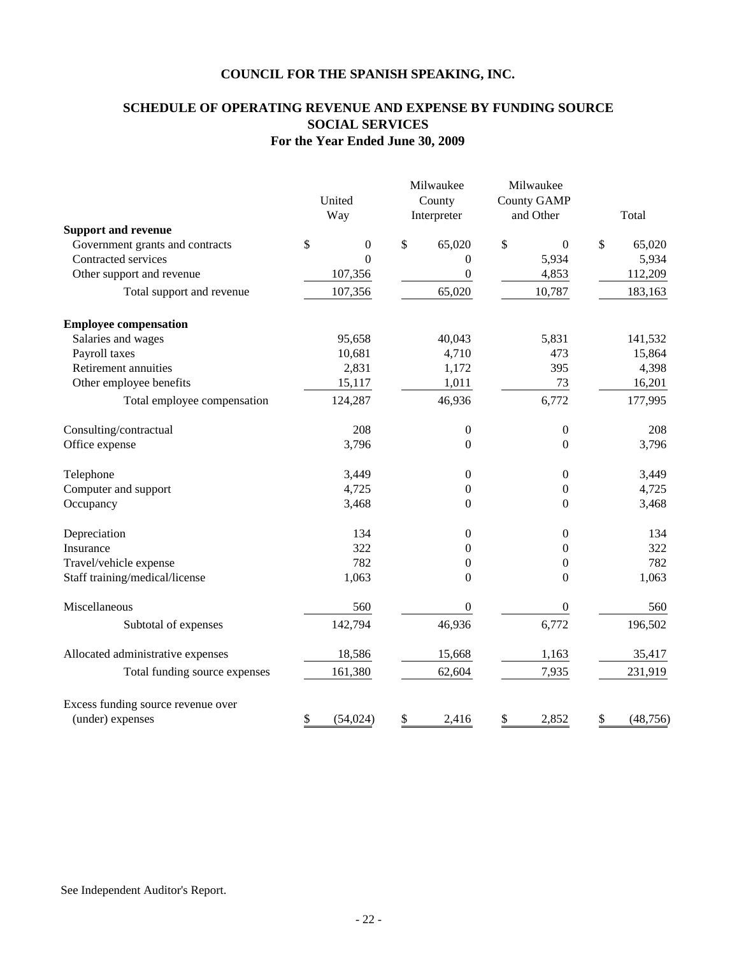### **SCHEDULE OF OPERATING REVENUE AND EXPENSE BY FUNDING SOURCE SOCIAL SERVICES For the Year Ended June 30, 2009**

|                                    | United |           | Milwaukee<br>County |                  | Milwaukee<br><b>County GAMP</b> |                  |                 |
|------------------------------------|--------|-----------|---------------------|------------------|---------------------------------|------------------|-----------------|
|                                    |        | Way       |                     | Interpreter      |                                 | and Other        | Total           |
| <b>Support and revenue</b>         |        |           |                     |                  |                                 |                  |                 |
| Government grants and contracts    | \$     | $\theta$  | \$                  | 65,020           | \$                              | $\Omega$         | \$<br>65,020    |
| Contracted services                |        | 0         |                     | 0                |                                 | 5,934            | 5,934           |
| Other support and revenue          |        | 107,356   |                     | 0                |                                 | 4,853            | 112,209         |
| Total support and revenue          |        | 107,356   |                     | 65,020           |                                 | 10,787           | 183,163         |
| <b>Employee compensation</b>       |        |           |                     |                  |                                 |                  |                 |
| Salaries and wages                 |        | 95,658    |                     | 40,043           |                                 | 5,831            | 141,532         |
| Payroll taxes                      |        | 10,681    |                     | 4,710            |                                 | 473              | 15,864          |
| Retirement annuities               |        | 2,831     |                     | 1,172            |                                 | 395              | 4,398           |
| Other employee benefits            |        | 15,117    |                     | 1,011            |                                 | 73               | 16,201          |
| Total employee compensation        |        | 124,287   |                     | 46,936           |                                 | 6,772            | 177,995         |
| Consulting/contractual             |        | 208       |                     | $\boldsymbol{0}$ |                                 | $\boldsymbol{0}$ | 208             |
| Office expense                     |        | 3,796     |                     | 0                |                                 | $\boldsymbol{0}$ | 3,796           |
| Telephone                          |        | 3,449     |                     | 0                |                                 | $\boldsymbol{0}$ | 3,449           |
| Computer and support               |        | 4,725     |                     | 0                |                                 | $\boldsymbol{0}$ | 4,725           |
| Occupancy                          |        | 3,468     |                     | 0                |                                 | $\theta$         | 3,468           |
| Depreciation                       |        | 134       |                     | $\boldsymbol{0}$ |                                 | $\mathbf{0}$     | 134             |
| Insurance                          |        | 322       |                     | 0                |                                 | 0                | 322             |
| Travel/vehicle expense             |        | 782       |                     | 0                |                                 | 0                | 782             |
| Staff training/medical/license     |        | 1,063     |                     | 0                |                                 | $\Omega$         | 1,063           |
| Miscellaneous                      |        | 560       |                     | 0                |                                 | $\boldsymbol{0}$ | 560             |
| Subtotal of expenses               |        | 142,794   |                     | 46,936           |                                 | 6,772            | 196,502         |
| Allocated administrative expenses  |        | 18,586    |                     | 15,668           |                                 | 1,163            | 35,417          |
| Total funding source expenses      |        | 161,380   |                     | 62,604           |                                 | 7,935            | 231,919         |
| Excess funding source revenue over |        |           |                     |                  |                                 |                  |                 |
| (under) expenses                   | \$     | (54, 024) | \$                  | 2,416            | \$                              | 2,852            | \$<br>(48, 756) |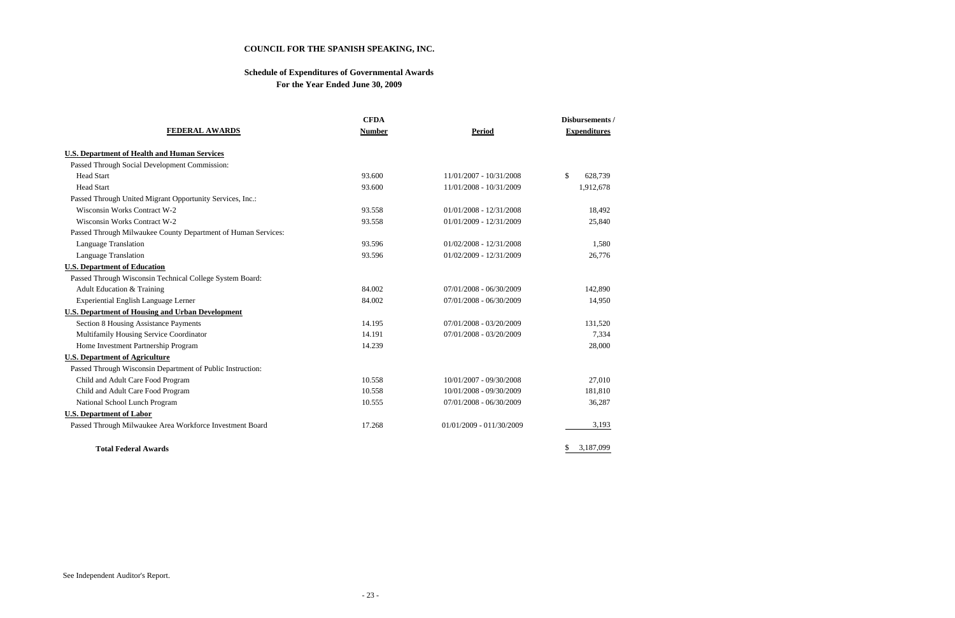## **Schedule of Expenditures of Governmental Awards For the Year Ended June 30, 2009**

|                                                               | <b>CFDA</b>   |                           | Disbursements /     |
|---------------------------------------------------------------|---------------|---------------------------|---------------------|
| <b>FEDERAL AWARDS</b>                                         | <b>Number</b> | Period                    | <b>Expenditures</b> |
| <b>U.S. Department of Health and Human Services</b>           |               |                           |                     |
| Passed Through Social Development Commission:                 |               |                           |                     |
| <b>Head Start</b>                                             | 93.600        | 11/01/2007 - 10/31/2008   | \$<br>628,739       |
| <b>Head Start</b>                                             | 93.600        | 11/01/2008 - 10/31/2009   | 1,912,678           |
| Passed Through United Migrant Opportunity Services, Inc.:     |               |                           |                     |
| Wisconsin Works Contract W-2                                  | 93.558        | $01/01/2008 - 12/31/2008$ | 18,492              |
| Wisconsin Works Contract W-2                                  | 93.558        | 01/01/2009 - 12/31/2009   | 25,840              |
| Passed Through Milwaukee County Department of Human Services: |               |                           |                     |
| <b>Language Translation</b>                                   | 93.596        | $01/02/2008 - 12/31/2008$ | 1,580               |
| <b>Language Translation</b>                                   | 93.596        | 01/02/2009 - 12/31/2009   | 26,776              |
| <b>U.S. Department of Education</b>                           |               |                           |                     |
| Passed Through Wisconsin Technical College System Board:      |               |                           |                     |
| Adult Education & Training                                    | 84.002        | 07/01/2008 - 06/30/2009   | 142,890             |
| <b>Experiential English Language Lerner</b>                   | 84.002        | 07/01/2008 - 06/30/2009   | 14,950              |
| <b>U.S. Department of Housing and Urban Development</b>       |               |                           |                     |
| <b>Section 8 Housing Assistance Payments</b>                  | 14.195        | 07/01/2008 - 03/20/2009   | 131,520             |
| Multifamily Housing Service Coordinator                       | 14.191        | 07/01/2008 - 03/20/2009   | 7,334               |
| Home Investment Partnership Program                           | 14.239        |                           | 28,000              |
| <b>U.S. Department of Agriculture</b>                         |               |                           |                     |
| Passed Through Wisconsin Department of Public Instruction:    |               |                           |                     |
| Child and Adult Care Food Program                             | 10.558        | 10/01/2007 - 09/30/2008   | 27,010              |
| Child and Adult Care Food Program                             | 10.558        | 10/01/2008 - 09/30/2009   | 181,810             |
| National School Lunch Program                                 | 10.555        | 07/01/2008 - 06/30/2009   | 36,287              |
| <b>U.S. Department of Labor</b>                               |               |                           |                     |
| Passed Through Milwaukee Area Workforce Investment Board      | 17.268        | 01/01/2009 - 011/30/2009  | 3,193               |
|                                                               |               |                           |                     |

 **Total Federal Awards**

\$ 3,187,099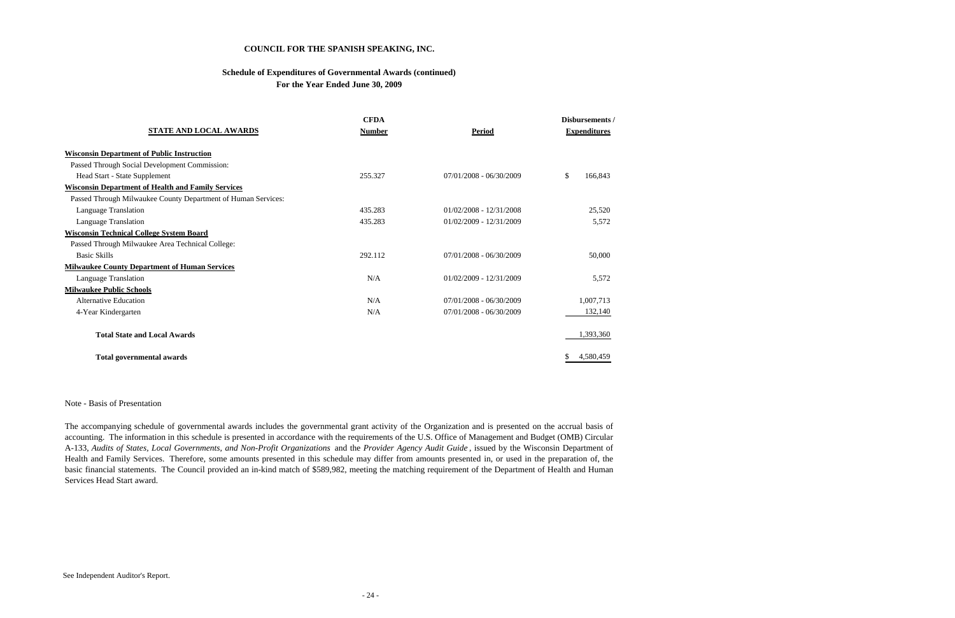### **Schedule of Expenditures of Governmental Awards (continued) For the Year Ended June 30, 2009**

|                                                               | <b>CFDA</b>   |                           | Disbursements /     |
|---------------------------------------------------------------|---------------|---------------------------|---------------------|
| <b>STATE AND LOCAL AWARDS</b>                                 | <b>Number</b> | <b>Period</b>             | <b>Expenditures</b> |
| <b>Wisconsin Department of Public Instruction</b>             |               |                           |                     |
| Passed Through Social Development Commission:                 |               |                           |                     |
| Head Start - State Supplement                                 | 255.327       | $07/01/2008 - 06/30/2009$ | \$<br>166,843       |
| <b>Wisconsin Department of Health and Family Services</b>     |               |                           |                     |
| Passed Through Milwaukee County Department of Human Services: |               |                           |                     |
| Language Translation                                          | 435.283       | $01/02/2008 - 12/31/2008$ | 25,520              |
| Language Translation                                          | 435.283       | 01/02/2009 - 12/31/2009   | 5,572               |
| <b>Wisconsin Technical College System Board</b>               |               |                           |                     |
| Passed Through Milwaukee Area Technical College:              |               |                           |                     |
| <b>Basic Skills</b>                                           | 292.112       | $07/01/2008 - 06/30/2009$ | 50,000              |
| <b>Milwaukee County Department of Human Services</b>          |               |                           |                     |
| Language Translation                                          | N/A           | 01/02/2009 - 12/31/2009   | 5,572               |
| <b>Milwaukee Public Schools</b>                               |               |                           |                     |
| Alternative Education                                         | N/A           | $07/01/2008 - 06/30/2009$ | 1,007,713           |
| 4-Year Kindergarten                                           | N/A           | 07/01/2008 - 06/30/2009   | 132,140             |
| <b>Total State and Local Awards</b>                           |               |                           | 1,393,360           |
| <b>Total governmental awards</b>                              |               |                           | 4,580,459<br>ъ.     |

#### Note - Basis of Presentation

The accompanying schedule of governmental awards includes the governmental gran<sup>t</sup> activity of the Organization and is presented on the accrual basis of accounting. The information in this schedule is presented in accordance with the requirements of the U.S. Office of Management and Budget (OMB) Circular A-133, Audits of States, Local Governments, and Non-Profit Organizations and the Provider Agency Audit Guide, issued by the Wisconsin Department of Health and Family Services. Therefore, some amounts presented in this schedule may differ from amounts presented in, or used in the preparation of, the basic financial statements. The Council provided an in-kind match of \$589,982, meeting the matching requirement of the Department of Health and Human Services Head Start award.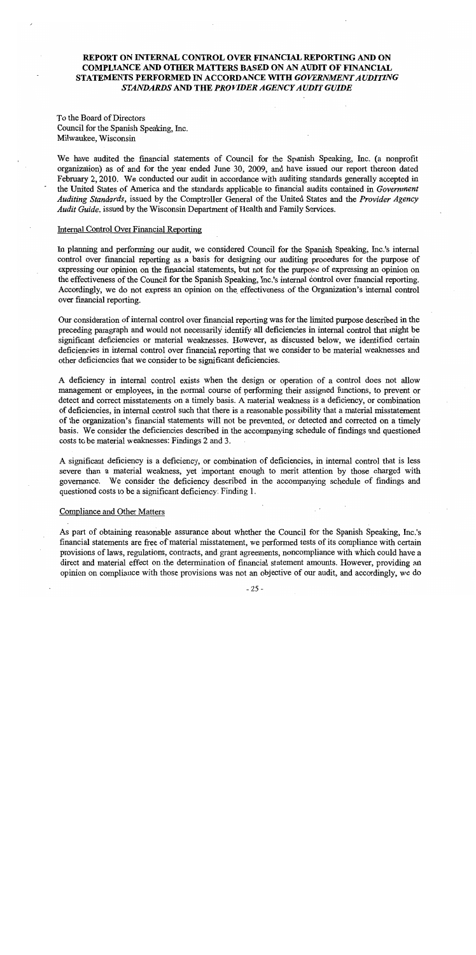### REPORT ON INTERNAL CONTROL OVER FINANCIAL REPORTING AND ON **COMPLIANCE AND OTHER MATTERS BASED ON AN AUDIT OF FINANCIAL** STATEMENTS PERFORMED IN ACCORDANCE WITH GOVERNMENT AUDITING STANDARDS AND THE PROVIDER AGENCY AUDIT GUIDE

To the Board of Directors Council for the Spanish Speaking, Inc. Milwaukee, Wisconsin

We have audited the financial statements of Council for the Spanish Speaking, Inc. (a nonprofit organization) as of and for the year ended June 30, 2009, and have issued our report thereon dated February 2, 2010. We conducted our audit in accordance with auditing standards generally accepted in the United States of America and the standards applicable to financial audits contained in Government Auditing Standards, issued by the Comptroller General of the United States and the Provider Agency Audit Guide, issued by the Wisconsin Department of Health and Family Services.

#### Internal Control Over Financial Reporting

In planning and performing our audit, we considered Council for the Spanish Speaking, Inc.'s internal control over financial reporting as a basis for designing our auditing procedures for the purpose of expressing our opinion on the financial statements, but not for the purpose of expressing an opinion on the effectiveness of the Council for the Spanish Speaking, Inc.'s internal control over financial reporting. Accordingly, we do not express an opinion on the effectiveness of the Organization's internal control over financial reporting.

Our consideration of internal control over financial reporting was for the limited purpose described in the preceding paragraph and would not necessarily identify all deficiencies in internal control that might be significant deficiencies or material weaknesses. However, as discussed below, we identified certain deficiencies in internal control over financial reporting that we consider to be material weaknesses and other deficiencies that we consider to be significant deficiencies.

A deficiency in internal control exists when the design or operation of a control does not allow management or employees, in the normal course of performing their assigned functions, to prevent or detect and correct misstatements on a timely basis. A material weakness is a deficiency, or combination of deficiencies, in internal control such that there is a reasonable possibility that a material misstatement of the organization's financial statements will not be prevented, or detected and corrected on a timely basis. We consider the deficiencies described in the accompanying schedule of findings and questioned costs to be material weaknesses: Findings 2 and 3.

A significant deficiency is a deficiency, or combination of deficiencies, in internal control that is less severe than a material weakness, yet important enough to merit attention by those charged with governance. We consider the deficiency described in the accompanying schedule of findings and questioned costs to be a significant deficiency: Finding 1.

#### **Compliance and Other Matters**

As part of obtaining reasonable assurance about whether the Council for the Spanish Speaking, Inc.'s financial statements are free of material misstatement, we performed tests of its compliance with certain provisions of laws, regulations, contracts, and grant agreements, noncompliance with which could have a direct and material effect on the determination of financial statement amounts. However, providing an opinion on compliance with those provisions was not an objective of our audit, and accordingly, we do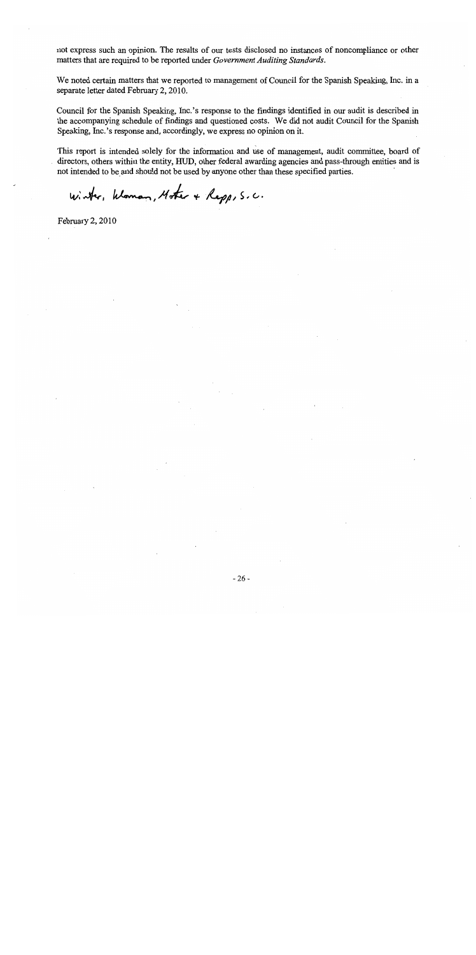not express such an opinion. The results of our tests disclosed no instances of noncompliance or other matters that are required to be reported under Government Auditing Standards.

We noted certain matters that we reported to management of Council for the Spanish Speaking, Inc. in a separate letter dated February 2, 2010.

Council for the Spanish Speaking, Inc.'s response to the findings identified in our audit is described in the accompanying schedule of findings and questioned costs. We did not audit Council for the Spanish Speaking, Inc.'s response and, accordingly, we express no opinion on it.

This report is intended solely for the information and use of management, audit committee, board of directors, others within the entity, HUD, other federal awarding agencies and pass-through entities and is not intended to be and should not be used by anyone other than these specified parties.

winter, Woman, Moter + Repp, S.C.

February 2, 2010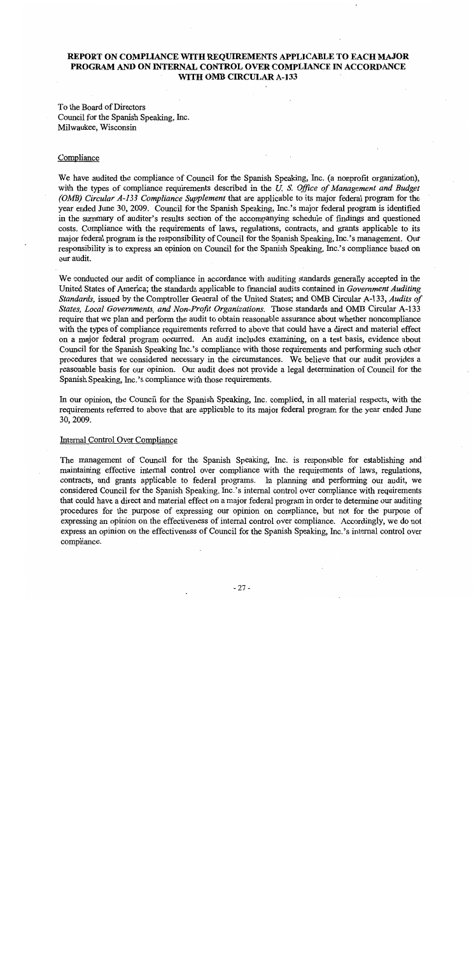#### REPORT ON COMPLIANCE WITH REOUIREMENTS APPLICABLE TO EACH MAJOR PROGRAM AND ON INTERNAL CONTROL OVER COMPLIANCE IN ACCORDANCE WITH OMB CIRCULAR A-133

To the Board of Directors Council for the Spanish Speaking, Inc. Milwaukee, Wisconsin

#### Compliance

We have audited the compliance of Council for the Spanish Speaking, Inc. (a nonprofit organization), with the types of compliance requirements described in the U.S. Office of Management and Budget (OMB) Circular A-133 Compliance Supplement that are applicable to its major federal program for the year ended June 30, 2009. Council for the Spanish Speaking, Inc.'s major federal program is identified in the summary of auditor's results section of the accompanying schedule of findings and questioned costs. Compliance with the requirements of laws, regulations, contracts, and grants applicable to its major federal program is the responsibility of Council for the Spanish Speaking, Inc.'s management. Our responsibility is to express an opinion on Council for the Spanish Speaking, Inc.'s compliance based on our audit.

We conducted our audit of compliance in accordance with auditing standards generally accepted in the United States of America; the standards applicable to financial audits contained in Government Auditing Standards, issued by the Comptroller General of the United States; and OMB Circular A-133, Audits of States, Local Governments, and Non-Profit Organizations. Those standards and OMB Circular A-133 require that we plan and perform the audit to obtain reasonable assurance about whether noncompliance with the types of compliance requirements referred to above that could have a direct and material effect on a major federal program occurred. An audit includes examining, on a test basis, evidence about Council for the Spanish Speaking Inc.'s compliance with those requirements and performing such other procedures that we considered necessary in the circumstances. We believe that our audit provides a reasonable basis for our opinion. Our audit does not provide a legal determination of Council for the Spanish Speaking, Inc.'s compliance with those requirements.

In our opinion, the Council for the Spanish Speaking, Inc. complied, in all material respects, with the requirements referred to above that are applicable to its major federal program for the year ended June 30, 2009.

#### **Internal Control Over Compliance**

The management of Council for the Spanish Speaking, Inc. is responsible for establishing and maintaining effective internal control over compliance with the requirements of laws, regulations, contracts, and grants applicable to federal programs. In planning and performing our audit, we considered Council for the Spanish Speaking, Inc.'s internal control over compliance with requirements that could have a direct and material effect on a major federal program in order to determine our auditing procedures for the purpose of expressing our opinion on compliance, but not for the purpose of expressing an opinion on the effectiveness of internal control over compliance. Accordingly, we do not express an opinion on the effectiveness of Council for the Spanish Speaking, Inc.'s internal control over compliance.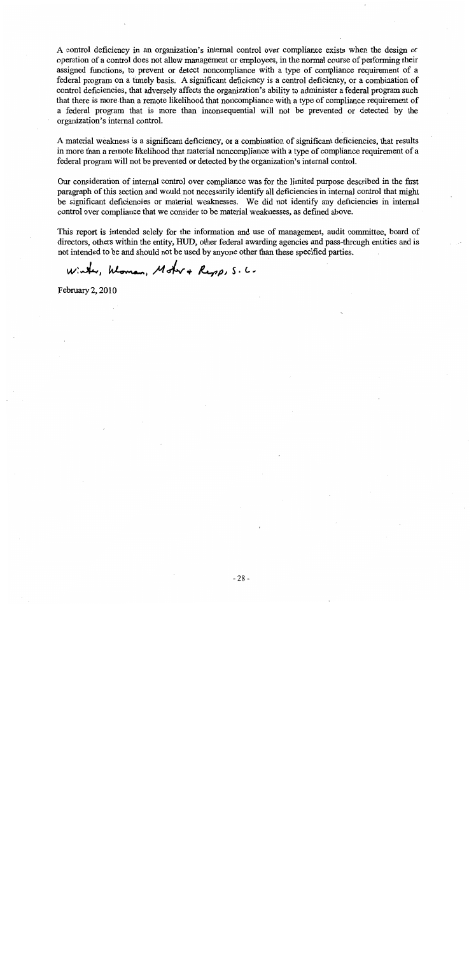A control deficiency in an organization's internal control over compliance exists when the design or operation of a control does not allow management or employees, in the normal course of performing their assigned functions, to prevent or detect noncompliance with a type of compliance requirement of a federal program on a timely basis. A significant deficiency is a control deficiency, or a combination of control deficiencies, that adversely affects the organization's ability to administer a federal program such that there is more than a remote likelihood that noncompliance with a type of compliance requirement of a federal program that is more than inconsequential will not be prevented or detected by the organization's internal control.

A material weakness is a significant deficiency, or a combination of significant deficiencies, that results in more than a remote likelihood that material noncompliance with a type of compliance requirement of a federal program will not be prevented or detected by the organization's internal control.

Our consideration of internal control over compliance was for the limited purpose described in the first paragraph of this section and would not necessarily identify all deficiencies in internal control that might be significant deficiencies or material weaknesses. We did not identify any deficiencies in internal control over compliance that we consider to be material weaknesses, as defined above.

This report is intended solely for the information and use of management, audit committee, board of directors, others within the entity, HUD, other federal awarding agencies and pass-through entities and is not intended to be and should not be used by anyone other than these specified parties.

Winter, Woman, Motor + Repp, S. C.

February 2, 2010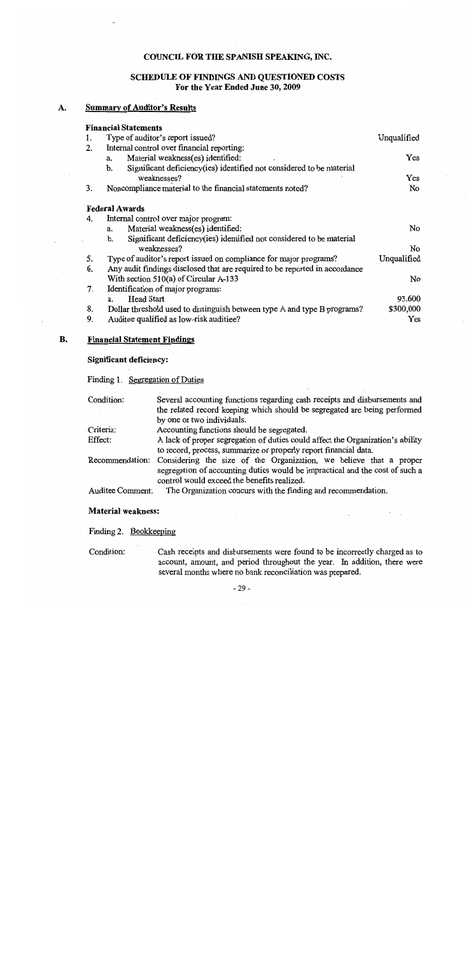### SCHEDULE OF FINDINGS AND QUESTIONED COSTS For the Year Ended June 30, 2009

#### **Summary of Auditor's Results** A.

|    | <b>Financial Statements</b>                                                 |             |
|----|-----------------------------------------------------------------------------|-------------|
| 1. | Type of auditor's report issued?                                            | Unqualified |
| 2. | Internal control over financial reporting:                                  |             |
|    | Material weakness(es) identified:<br>a.                                     | Yes         |
|    | Significant deficiency (ies) identified not considered to be material<br>b. |             |
|    | weaknesses?                                                                 | <b>Yes</b>  |
| 3. | Noncompliance material to the financial statements noted?                   | No          |
|    | <b>Federal Awards</b>                                                       |             |
| 4. | Internal control over major program:                                        |             |
|    | Material weakness(es) identified:<br>a.                                     | No          |
|    | Significant deficiency (ies) identified not considered to be material<br>b. |             |
|    | weaknesses?                                                                 | No          |
| 5. | Type of auditor's report issued on compliance for major programs?           | Unqualified |
| 6. | Any audit findings disclosed that are required to be reported in accordance |             |
|    | With section $510(a)$ of Circular A-133                                     | No          |
| 7. | Identification of major programs:                                           |             |
|    | <b>Head Start</b><br>a.                                                     | 93.600      |
| 8. | Dollar threshold used to distinguish between type A and type B programs?    | \$300,000   |
| 9. | Auditee qualified as low-risk auditiee?                                     | Yes         |

#### **Financial Statement Findings B.**

### **Significant deficiency:**

Finding 1. Segregation of Duties

| Condition:              | Several accounting functions regarding cash receipts and disbursements and<br>the related record keeping which should be segregated are being performed<br>by one or two individuals.             |
|-------------------------|---------------------------------------------------------------------------------------------------------------------------------------------------------------------------------------------------|
| Criteria:               | Accounting functions should be segregated.                                                                                                                                                        |
| Effect:                 | A lack of proper segregation of duties could affect the Organization's ability                                                                                                                    |
|                         | to record, process, summarize or properly report financial data.                                                                                                                                  |
| Recommendation:         | Considering the size of the Organization, we believe that a proper<br>segregation of accounting duties would be impractical and the cost of such a<br>control would exceed the benefits realized. |
| <b>Auditee Comment:</b> | The Organization concurs with the finding and recommendation.                                                                                                                                     |

#### **Material weakness:**

Finding 2. Bookkeeping

Condition: Cash receipts and disbursements were found to be incorrectly charged as to account, amount, and period throughout the year. In addition, there were several months where no bank reconciliation was prepared.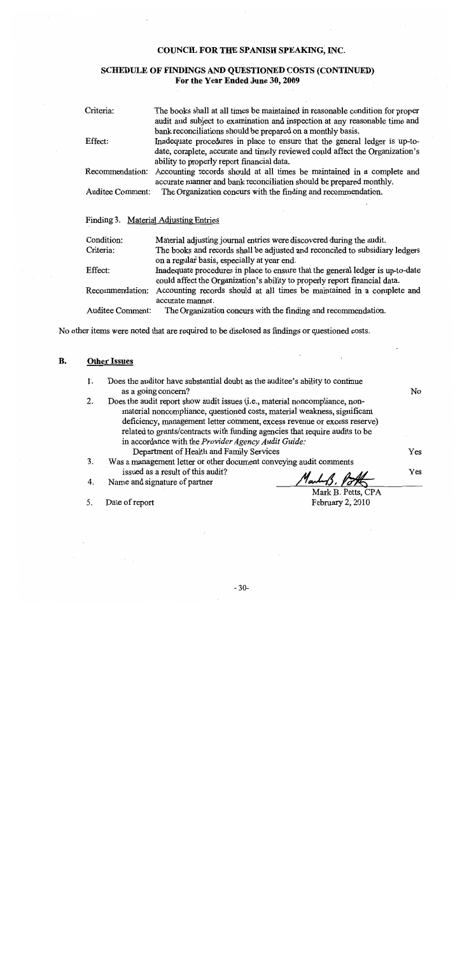#### SCHEDULE OF FINDINGS AND QUESTIONED COSTS (CONTINUED) For the Year Ended June 30, 2009

| Criteria:               | The books shall at all times be maintained in reasonable condition for proper          |
|-------------------------|----------------------------------------------------------------------------------------|
|                         | audit and subject to examination and inspection at any reasonable time and             |
|                         | bank reconciliations should be prepared on a monthly basis.                            |
| Effect:                 | Inadequate procedures in place to ensure that the general ledger is up-to-             |
|                         | date, complete, accurate and timely reviewed could affect the Organization's           |
|                         | ability to properly report financial data.                                             |
|                         | Recommendation: Accounting records should at all times be maintained in a complete and |
|                         | accurate manner and bank reconciliation should be prepared monthly.                    |
| <b>Auditee Comment:</b> | The Organization concurs with the finding and recommendation.                          |
|                         |                                                                                        |

Finding 3. Material Adjusting Entries

| Condition:       | Material adjusting journal entries were discovered during the audit.                   |
|------------------|----------------------------------------------------------------------------------------|
| Criteria:        | The books and records shall be adjusted and reconciled to subsidiary ledgers           |
|                  | on a regular basis, especially at year end.                                            |
| Effect:          | Inadequate procedures in place to ensure that the general ledger is up-to-date         |
|                  | could affect the Organization's ability to properly report financial data.             |
|                  | Recommendation: Accounting records should at all times be maintained in a complete and |
|                  | accurate manner.                                                                       |
| Auditee Comment: | The Organization concurs with the finding and recommendation.                          |

No other items were noted that are required to be disclosed as findings or questioned costs.

#### **B. Other Issues**

| Does the auditor have substantial doubt as the auditee's ability to continue |     |
|------------------------------------------------------------------------------|-----|
| as a going concern?                                                          | No  |
| Does the audit report show audit issues (i.e., material noncompliance, non-  |     |
| material noncompliance, questioned costs, material weakness, significant     |     |
| deficiency, management letter comment, excess revenue or excess reserve)     |     |
| related to grants/contracts with funding agencies that require audits to be  |     |
| in accordance with the Provider Agency Audit Guide:                          |     |
| Department of Health and Family Services                                     | Yes |

Department of Health and Family Services

- Was a management letter or other document conveying audit comments  $3.$ issued as a result of this audit?
- 4. Name and signature of partner

Mad Mark B. Potts, CPA February 2, 2010

Yes

5. Date of report

 $-30-$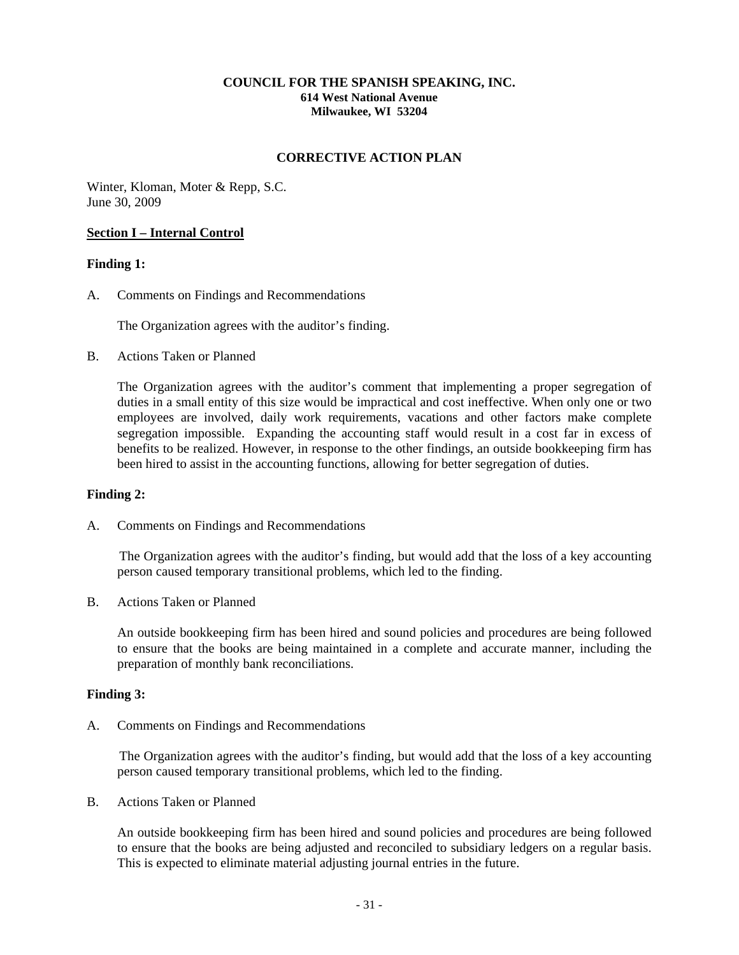#### **COUNCIL FOR THE SPANISH SPEAKING, INC. 614 West National Avenue Milwaukee, WI 53204**

#### **CORRECTIVE ACTION PLAN**

Winter, Kloman, Moter & Repp, S.C. June 30, 2009

#### **Section I – Internal Control**

#### **Finding 1:**

A. Comments on Findings and Recommendations

The Organization agrees with the auditor's finding.

B. Actions Taken or Planned

 The Organization agrees with the auditor's comment that implementing a proper segregation of duties in a small entity of this size would be impractical and cost ineffective. When only one or two employees are involved, daily work requirements, vacations and other factors make complete segregation impossible. Expanding the accounting staff would result in a cost far in excess of benefits to be realized. However, in response to the other findings, an outside bookkeeping firm has been hired to assist in the accounting functions, allowing for better segregation of duties.

#### **Finding 2:**

A. Comments on Findings and Recommendations

 The Organization agrees with the auditor's finding, but would add that the loss of a key accounting person caused temporary transitional problems, which led to the finding.

B. Actions Taken or Planned

 An outside bookkeeping firm has been hired and sound policies and procedures are being followed to ensure that the books are being maintained in a complete and accurate manner, including the preparation of monthly bank reconciliations.

#### **Finding 3:**

A. Comments on Findings and Recommendations

 The Organization agrees with the auditor's finding, but would add that the loss of a key accounting person caused temporary transitional problems, which led to the finding.

B. Actions Taken or Planned

 An outside bookkeeping firm has been hired and sound policies and procedures are being followed to ensure that the books are being adjusted and reconciled to subsidiary ledgers on a regular basis. This is expected to eliminate material adjusting journal entries in the future.